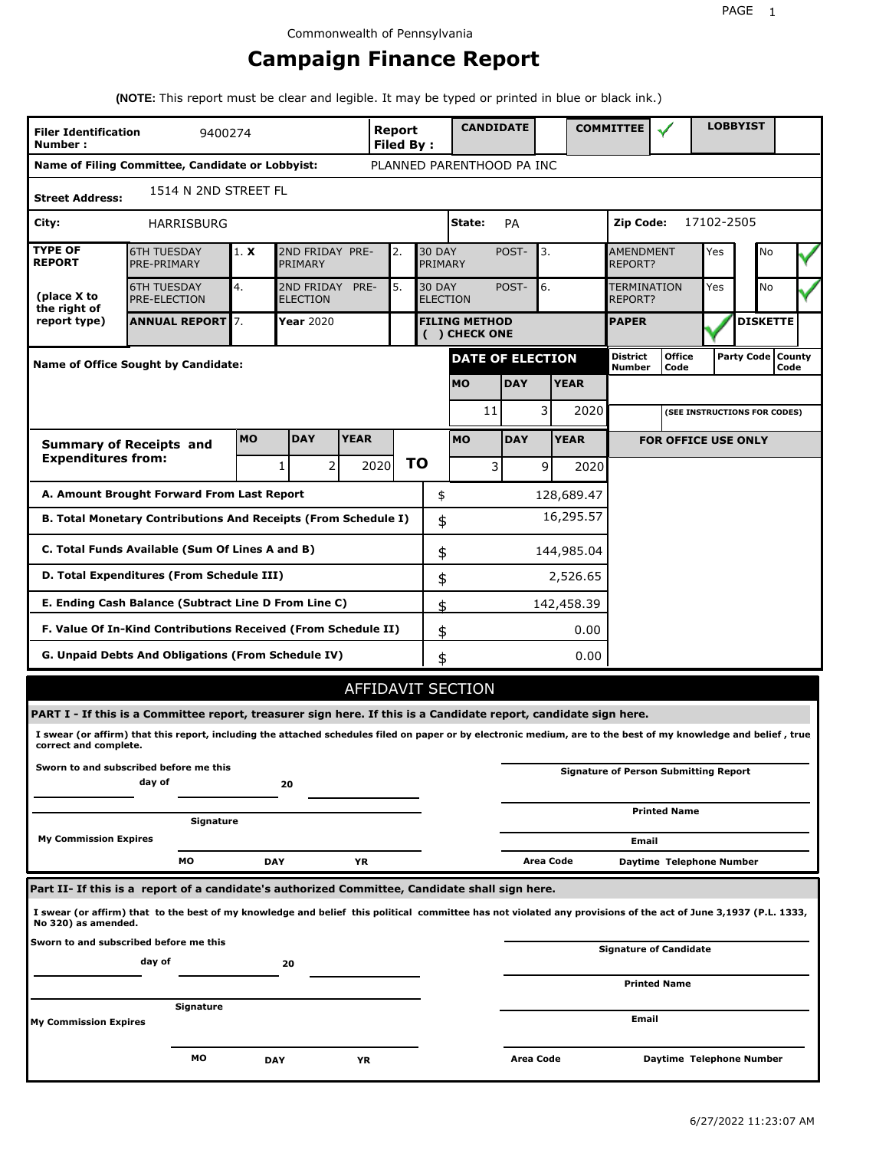# **Campaign Finance Report**

**(NOTE:** This report must be clear and legible. It may be typed or printed in blue or black ink.)

| <b>Filer Identification</b><br>Number: | 9400274                                                                                                                                                         |           |                                    |             | <b>Report</b><br>Filed By: |                                  | <b>CANDIDATE</b>                      |            |                |             | <b>COMMITTEE</b>          |                                              |            | <b>LOBBYIST</b>              |      |  |
|----------------------------------------|-----------------------------------------------------------------------------------------------------------------------------------------------------------------|-----------|------------------------------------|-------------|----------------------------|----------------------------------|---------------------------------------|------------|----------------|-------------|---------------------------|----------------------------------------------|------------|------------------------------|------|--|
|                                        | Name of Filing Committee, Candidate or Lobbyist:                                                                                                                |           |                                    |             |                            |                                  | PLANNED PARENTHOOD PA INC             |            |                |             |                           |                                              |            |                              |      |  |
| <b>Street Address:</b>                 | 1514 N 2ND STREET FL                                                                                                                                            |           |                                    |             |                            |                                  |                                       |            |                |             |                           |                                              |            |                              |      |  |
| City:                                  | HARRISBURG                                                                                                                                                      |           |                                    |             |                            |                                  | State:                                | <b>PA</b>  |                |             | <b>Zip Code:</b>          |                                              | 17102-2505 |                              |      |  |
| <b>TYPE OF</b><br><b>REPORT</b>        | <b>6TH TUESDAY</b><br>PRE-PRIMARY                                                                                                                               | 1. X      | 2ND FRIDAY PRE-<br>PRIMARY         |             | 2.                         | <b>30 DAY</b><br>PRIMARY         |                                       | POST-      | 3.             |             | AMENDMENT<br>REPORT?      |                                              | Yes        | No                           |      |  |
| (place X to<br>the right of            | <b>6TH TUESDAY</b><br>PRE-ELECTION                                                                                                                              | 4.        | 2ND FRIDAY PRE-<br><b>ELECTION</b> |             | 5.                         | <b>30 DAY</b><br><b>ELECTION</b> |                                       | POST-      | 6.             |             | TERMINATION<br>REPORT?    |                                              | Yes        | No                           |      |  |
| report type)                           | <b>ANNUAL REPORT</b> 7.                                                                                                                                         |           | Year 2020                          |             |                            |                                  | <b>FILING METHOD</b><br>( ) CHECK ONE |            |                |             | <b>PAPER</b>              |                                              |            | <b>DISKETTE</b>              |      |  |
|                                        | <b>Name of Office Sought by Candidate:</b>                                                                                                                      |           |                                    |             |                            |                                  | <b>DATE OF ELECTION</b>               |            |                |             | <b>District</b><br>Number | <b>Office</b><br>Code                        |            | Party Code   County          | Code |  |
|                                        |                                                                                                                                                                 |           |                                    |             |                            |                                  | <b>MO</b>                             | <b>DAY</b> |                | <b>YEAR</b> |                           |                                              |            |                              |      |  |
|                                        |                                                                                                                                                                 |           |                                    |             |                            |                                  | 11                                    |            | 3              | 2020        |                           |                                              |            | (SEE INSTRUCTIONS FOR CODES) |      |  |
|                                        | <b>Summary of Receipts and</b>                                                                                                                                  | <b>MO</b> | <b>DAY</b>                         | <b>YEAR</b> |                            |                                  | <b>MO</b>                             | <b>DAY</b> |                | <b>YEAR</b> |                           | <b>FOR OFFICE USE ONLY</b>                   |            |                              |      |  |
| <b>Expenditures from:</b>              |                                                                                                                                                                 |           | 2<br>1                             |             | 2020                       | <b>TO</b>                        | 3                                     |            | $\overline{9}$ | 2020        |                           |                                              |            |                              |      |  |
|                                        | A. Amount Brought Forward From Last Report                                                                                                                      |           |                                    |             |                            | \$                               |                                       |            |                | 128,689.47  |                           |                                              |            |                              |      |  |
|                                        | B. Total Monetary Contributions And Receipts (From Schedule I)                                                                                                  |           |                                    |             |                            | \$                               |                                       |            |                | 16,295.57   |                           |                                              |            |                              |      |  |
|                                        | C. Total Funds Available (Sum Of Lines A and B)                                                                                                                 |           |                                    |             |                            | \$                               |                                       |            |                | 144,985.04  |                           |                                              |            |                              |      |  |
|                                        | D. Total Expenditures (From Schedule III)                                                                                                                       |           |                                    |             |                            | \$                               |                                       |            |                | 2,526.65    |                           |                                              |            |                              |      |  |
|                                        | E. Ending Cash Balance (Subtract Line D From Line C)                                                                                                            |           |                                    |             |                            | \$                               |                                       |            |                | 142,458.39  |                           |                                              |            |                              |      |  |
|                                        | F. Value Of In-Kind Contributions Received (From Schedule II)                                                                                                   |           |                                    |             |                            | \$                               |                                       |            |                | 0.00        |                           |                                              |            |                              |      |  |
|                                        | G. Unpaid Debts And Obligations (From Schedule IV)                                                                                                              |           |                                    |             |                            | \$                               |                                       |            |                | 0.00        |                           |                                              |            |                              |      |  |
|                                        |                                                                                                                                                                 |           |                                    |             |                            |                                  | <b>AFFIDAVIT SECTION</b>              |            |                |             |                           |                                              |            |                              |      |  |
|                                        | PART I - If this is a Committee report, treasurer sign here. If this is a Candidate report, candidate sign here.                                                |           |                                    |             |                            |                                  |                                       |            |                |             |                           |                                              |            |                              |      |  |
| correct and complete.                  | I swear (or affirm) that this report, including the attached schedules filed on paper or by electronic medium, are to the best of my knowledge and belief, true |           |                                    |             |                            |                                  |                                       |            |                |             |                           |                                              |            |                              |      |  |
|                                        | Sworn to and subscribed before me this<br>day of                                                                                                                |           | 20                                 |             |                            |                                  |                                       |            |                |             |                           | <b>Signature of Person Submitting Report</b> |            |                              |      |  |
|                                        | Signature                                                                                                                                                       |           |                                    |             |                            |                                  |                                       |            |                |             |                           | <b>Printed Name</b>                          |            |                              |      |  |
| <b>My Commission Expires</b>           |                                                                                                                                                                 |           |                                    |             |                            |                                  |                                       |            |                |             | Email                     |                                              |            |                              |      |  |
|                                        | MО                                                                                                                                                              |           | <b>DAY</b>                         | YR          |                            |                                  |                                       |            | Area Code      |             |                           | Daytime Telephone Number                     |            |                              |      |  |
|                                        | Part II- If this is a report of a candidate's authorized Committee, Candidate shall sign here.                                                                  |           |                                    |             |                            |                                  |                                       |            |                |             |                           |                                              |            |                              |      |  |
| No 320) as amended.                    | I swear (or affirm) that to the best of my knowledge and belief this political committee has not violated any provisions of the act of June 3,1937 (P.L. 1333,  |           |                                    |             |                            |                                  |                                       |            |                |             |                           |                                              |            |                              |      |  |
|                                        | Sworn to and subscribed before me this<br>day of                                                                                                                |           | 20                                 |             |                            |                                  |                                       |            |                |             |                           | <b>Signature of Candidate</b>                |            |                              |      |  |
|                                        |                                                                                                                                                                 |           |                                    |             |                            |                                  |                                       |            |                |             |                           | <b>Printed Name</b>                          |            |                              |      |  |
| <b>My Commission Expires</b>           | Signature                                                                                                                                                       |           |                                    |             |                            |                                  |                                       |            |                |             | Email                     |                                              |            |                              |      |  |
|                                        | МO                                                                                                                                                              |           | DAY                                | ΥR          |                            |                                  |                                       | Area Code  |                |             |                           | Daytime Telephone Number                     |            |                              |      |  |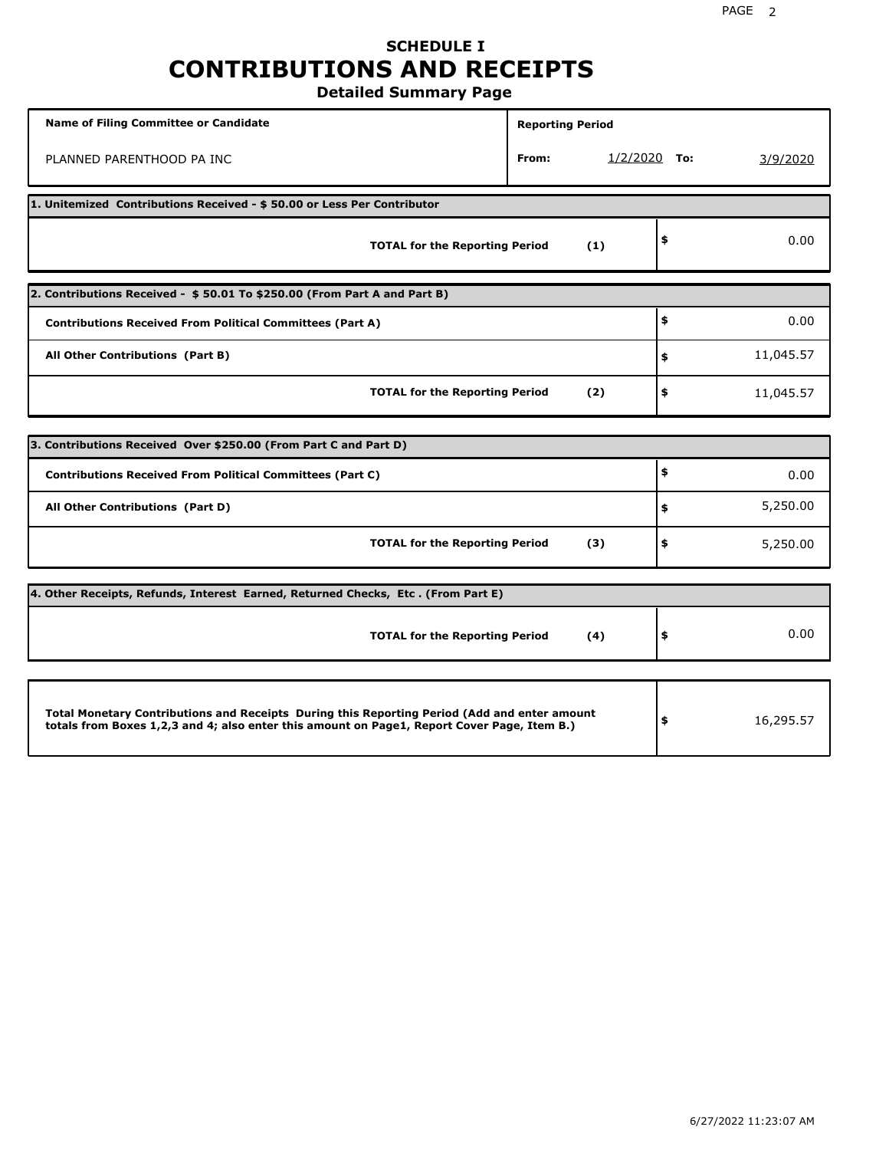## **SCHEDULE I CONTRIBUTIONS AND RECEIPTS Detailed Summary Page**

**Name of Filing Committee or Candidate Reporting Period Reporting Period** PLANNED PARENTHOOD PA INC **From:** 1/2/2020 **To:** 3/9/2020 **1. Unitemized Contributions Received - \$ 50.00 or Less Per Contributor TOTAL for the Reporting Period (1) \$** 0.00 **2. Contributions Received - \$ 50.01 To \$250.00 (From Part A and Part B) TOTAL for the Reporting Period (2) Contributions Received From Political Committees (Part A) All Other Contributions (Part B) \$ \$ \$** 0.00 11,045.57 11,045.57 **3. Contributions Received Over \$250.00 (From Part C and Part D) TOTAL for the Reporting Period (3) Contributions Received From Political Committees (Part C) All Other Contributions (Part D) \$ \$ \$** 0.00 5,250.00 5,250.00 **4. Other Receipts, Refunds, Interest Earned, Returned Checks, Etc . (From Part E) TOTAL for the Reporting Period (4) \$** 0.00 **Total Monetary Contributions and Receipts During this Reporting Period (Add and enter amount totals from Boxes 1,2,3 and 4; also enter this amount on Page1, Report Cover Page, Item B.) \$** 16,295.57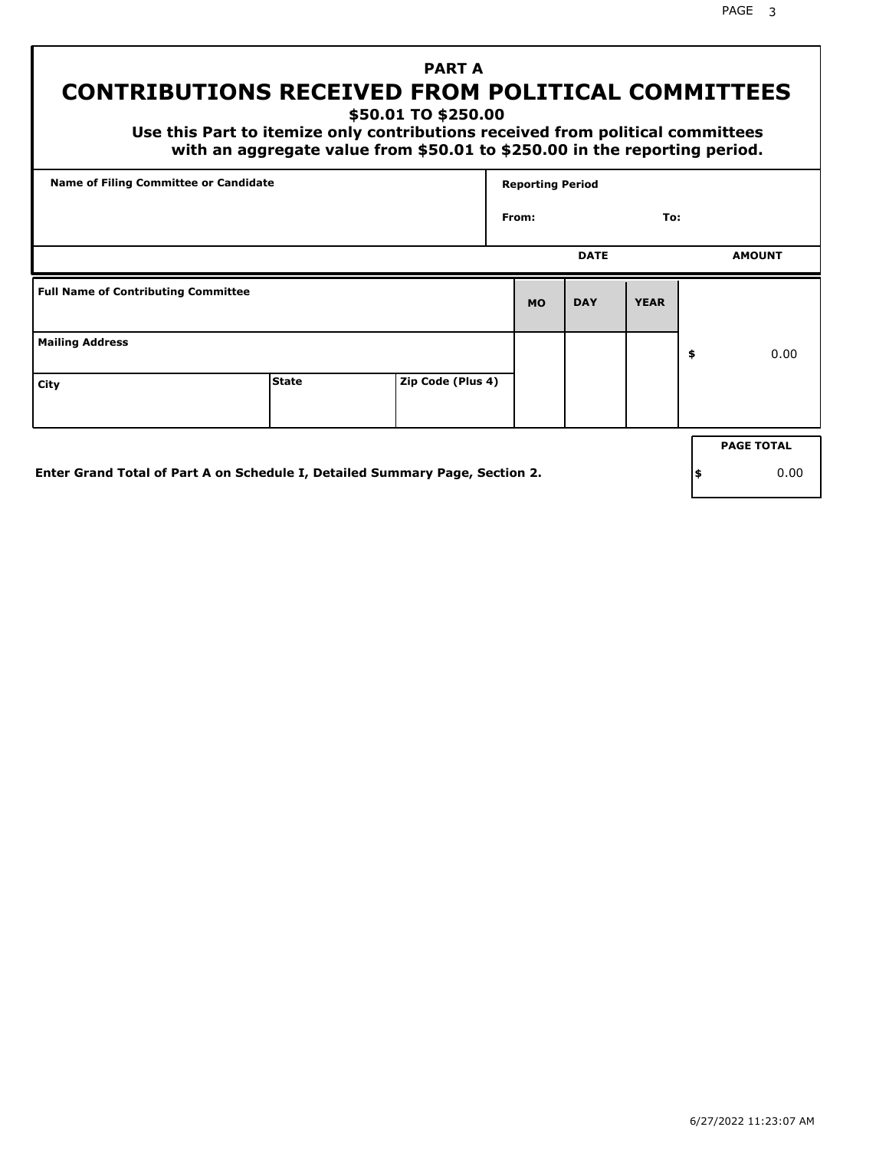# **PART A CONTRIBUTIONS RECEIVED FROM POLITICAL COMMITTEES**

**\$50.01 TO \$250.00**

 **Use this Part to itemize only contributions received from political committees with an aggregate value from \$50.01 to \$250.00 in the reporting period.**

| From:     | <b>DATE</b> | To:         |                   |
|-----------|-------------|-------------|-------------------|
|           |             |             |                   |
|           |             |             | <b>AMOUNT</b>     |
| <b>MO</b> | <b>DAY</b>  | <b>YEAR</b> |                   |
|           |             |             | \$<br>0.00        |
|           |             |             |                   |
|           |             |             | <b>PAGE TOTAL</b> |
|           |             |             |                   |

**Enter Grand Total of Part A on Schedule I, Detailed Summary Page, Section 2.**

**\$** 0.00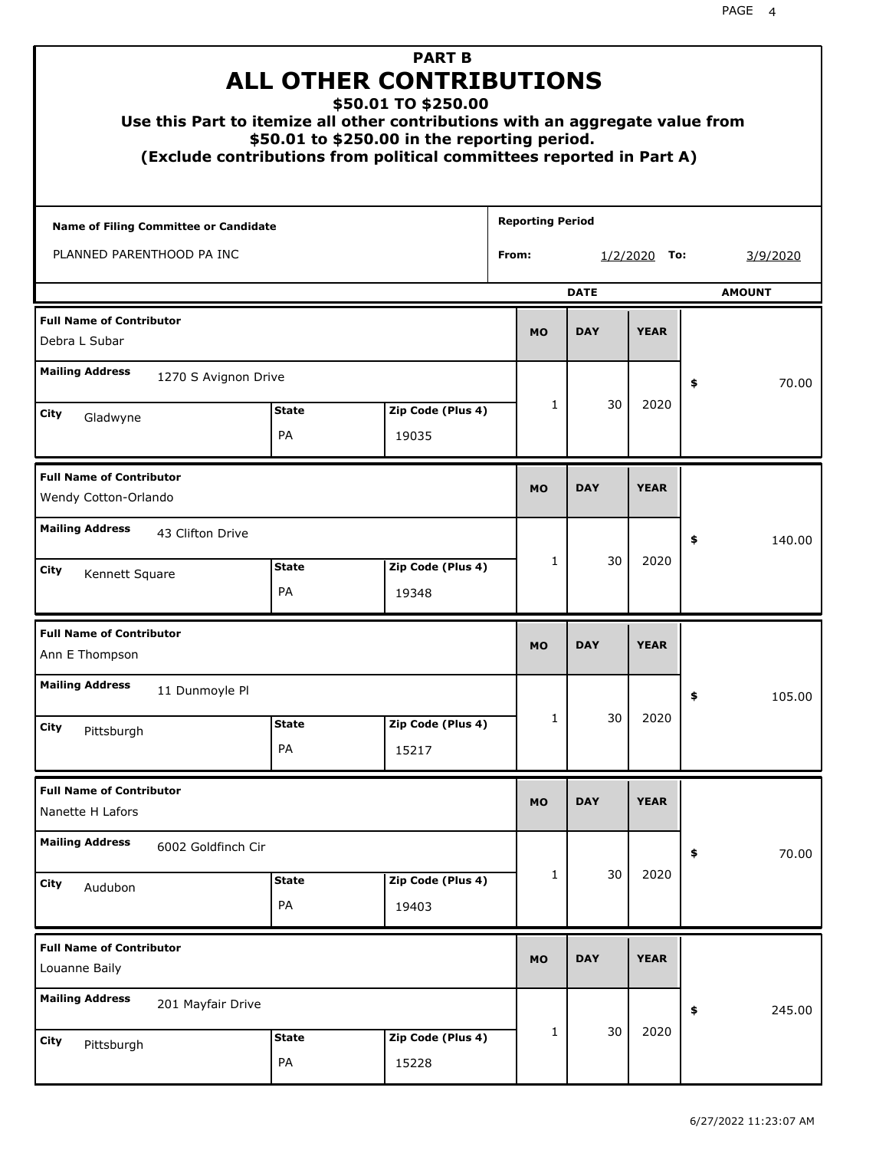|                                                         | Use this Part to itemize all other contributions with an aggregate value from<br>(Exclude contributions from political committees reported in Part A) | <b>PART B</b><br><b>ALL OTHER CONTRIBUTIONS</b><br>\$50.01 TO \$250.00<br>\$50.01 to \$250.00 in the reporting period. |                         |             |                |               |
|---------------------------------------------------------|-------------------------------------------------------------------------------------------------------------------------------------------------------|------------------------------------------------------------------------------------------------------------------------|-------------------------|-------------|----------------|---------------|
| <b>Name of Filing Committee or Candidate</b>            |                                                                                                                                                       |                                                                                                                        | <b>Reporting Period</b> |             |                |               |
| PLANNED PARENTHOOD PA INC                               |                                                                                                                                                       |                                                                                                                        | From:                   |             | $1/2/2020$ To: | 3/9/2020      |
|                                                         |                                                                                                                                                       |                                                                                                                        |                         | <b>DATE</b> |                | <b>AMOUNT</b> |
| <b>Full Name of Contributor</b><br>Debra L Subar        |                                                                                                                                                       |                                                                                                                        | <b>MO</b>               | <b>DAY</b>  | <b>YEAR</b>    |               |
| <b>Mailing Address</b>                                  | 1270 S Avignon Drive                                                                                                                                  |                                                                                                                        |                         |             |                | \$<br>70.00   |
| City<br>Gladwyne                                        | <b>State</b>                                                                                                                                          | Zip Code (Plus 4)                                                                                                      | $\mathbf{1}$            | 30          | 2020           |               |
|                                                         | PA                                                                                                                                                    | 19035                                                                                                                  |                         |             |                |               |
| <b>Full Name of Contributor</b><br>Wendy Cotton-Orlando |                                                                                                                                                       |                                                                                                                        | <b>MO</b>               | <b>DAY</b>  | <b>YEAR</b>    |               |
| <b>Mailing Address</b>                                  | 43 Clifton Drive                                                                                                                                      |                                                                                                                        |                         |             |                | \$<br>140.00  |
| City<br>Kennett Square                                  | <b>State</b><br>PA                                                                                                                                    | Zip Code (Plus 4)<br>19348                                                                                             | $\mathbf{1}$            | 30          | 2020           |               |
| <b>Full Name of Contributor</b><br>Ann E Thompson       |                                                                                                                                                       |                                                                                                                        | <b>MO</b>               | <b>DAY</b>  | <b>YEAR</b>    |               |
| <b>Mailing Address</b>                                  | 11 Dunmoyle Pl                                                                                                                                        |                                                                                                                        |                         |             |                | 105.00<br>÷,  |
| <b>City</b><br>Pittsburgh                               | <b>State</b><br>PA                                                                                                                                    | Zip Code (Plus 4)<br>15217                                                                                             | 1                       | 30          | 2020           |               |
| <b>Full Name of Contributor</b><br>Nanette H Lafors     |                                                                                                                                                       |                                                                                                                        | <b>MO</b>               | <b>DAY</b>  | <b>YEAR</b>    |               |
| <b>Mailing Address</b>                                  | 6002 Goldfinch Cir                                                                                                                                    |                                                                                                                        |                         |             |                | 70.00<br>\$   |
| City<br>Audubon                                         | <b>State</b><br>PA                                                                                                                                    | Zip Code (Plus 4)<br>19403                                                                                             | 1                       | 30          | 2020           |               |
| <b>Full Name of Contributor</b><br>Louanne Baily        |                                                                                                                                                       |                                                                                                                        | <b>MO</b>               | <b>DAY</b>  | <b>YEAR</b>    |               |
| <b>Mailing Address</b>                                  | 201 Mayfair Drive                                                                                                                                     |                                                                                                                        |                         |             |                | \$<br>245.00  |
| <b>City</b><br>Pittsburgh                               | <b>State</b><br>PA                                                                                                                                    | Zip Code (Plus 4)<br>15228                                                                                             | 1                       | 30          | 2020           |               |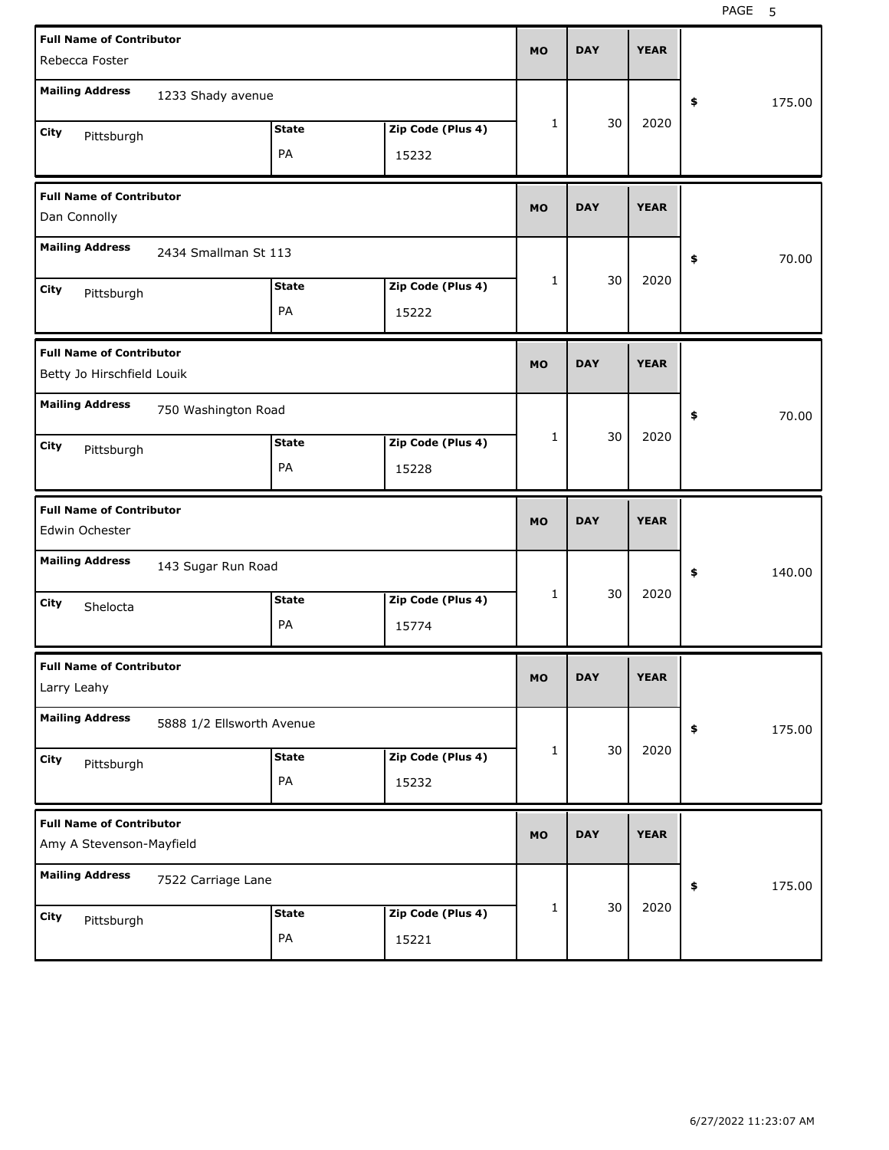| <b>Full Name of Contributor</b><br>Rebecca Foster             |                           |                    |                            | <b>MO</b> | <b>DAY</b> | <b>YEAR</b> |              |
|---------------------------------------------------------------|---------------------------|--------------------|----------------------------|-----------|------------|-------------|--------------|
| <b>Mailing Address</b>                                        | 1233 Shady avenue         |                    |                            |           |            |             | \$<br>175.00 |
| City<br>Pittsburgh                                            |                           | <b>State</b><br>PA | Zip Code (Plus 4)<br>15232 | 1         | 30         | 2020        |              |
| <b>Full Name of Contributor</b><br>Dan Connolly               |                           |                    |                            | <b>MO</b> | <b>DAY</b> | <b>YEAR</b> |              |
| <b>Mailing Address</b>                                        | 2434 Smallman St 113      |                    |                            |           |            |             | \$<br>70.00  |
| City<br>Pittsburgh                                            |                           | <b>State</b><br>PA | Zip Code (Plus 4)<br>15222 | 1         | 30         | 2020        |              |
| <b>Full Name of Contributor</b><br>Betty Jo Hirschfield Louik |                           |                    |                            | <b>MO</b> | <b>DAY</b> | <b>YEAR</b> |              |
| <b>Mailing Address</b>                                        | 750 Washington Road       |                    |                            |           |            |             | \$<br>70.00  |
| City<br>Pittsburgh                                            |                           | <b>State</b><br>PA | Zip Code (Plus 4)<br>15228 | 1         | 30         | 2020        |              |
|                                                               |                           |                    |                            |           |            |             |              |
| <b>Full Name of Contributor</b><br>Edwin Ochester             |                           |                    |                            | <b>MO</b> | <b>DAY</b> | <b>YEAR</b> |              |
| <b>Mailing Address</b>                                        | 143 Sugar Run Road        |                    |                            |           |            |             | \$<br>140.00 |
| City<br>Shelocta                                              |                           | <b>State</b><br>PA | Zip Code (Plus 4)<br>15774 | 1         | 30         | 2020        |              |
| <b>Full Name of Contributor</b><br>Larry Leahy                |                           |                    |                            | MO        | <b>DAY</b> | <b>YEAR</b> |              |
| <b>Mailing Address</b>                                        | 5888 1/2 Ellsworth Avenue |                    |                            |           |            |             | \$<br>175.00 |
| City<br>Pittsburgh                                            |                           | <b>State</b><br>PA | Zip Code (Plus 4)<br>15232 | 1         | 30         | 2020        |              |
| <b>Full Name of Contributor</b><br>Amy A Stevenson-Mayfield   |                           |                    |                            | <b>MO</b> | <b>DAY</b> | <b>YEAR</b> |              |
| <b>Mailing Address</b>                                        | 7522 Carriage Lane        |                    |                            |           | 30         | 2020        | \$<br>175.00 |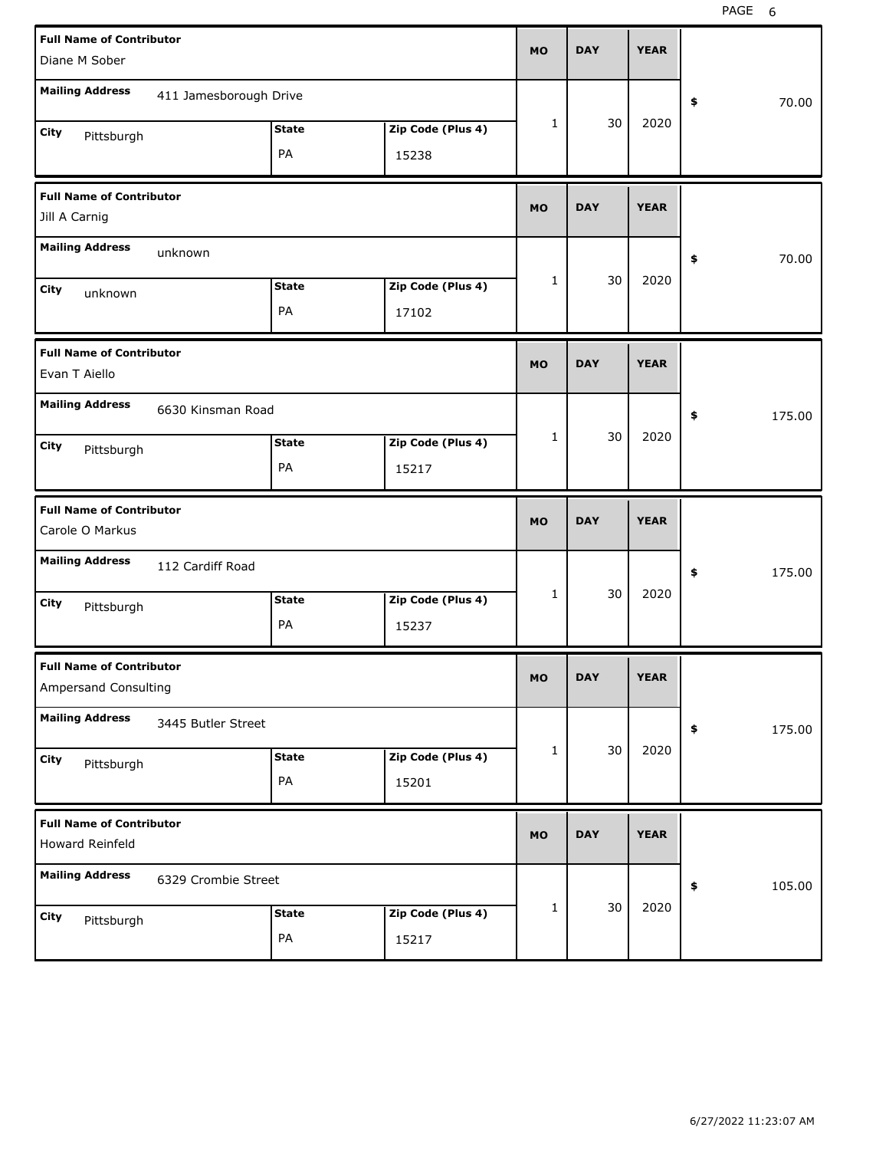| <b>Full Name of Contributor</b>                    |                        |                    |                            | <b>MO</b> | <b>DAY</b> | <b>YEAR</b> |              |  |
|----------------------------------------------------|------------------------|--------------------|----------------------------|-----------|------------|-------------|--------------|--|
| Diane M Sober                                      |                        |                    |                            |           |            |             |              |  |
| <b>Mailing Address</b>                             | 411 Jamesborough Drive |                    |                            |           |            |             | 70.00<br>\$  |  |
| City<br>Pittsburgh                                 |                        | <b>State</b>       | Zip Code (Plus 4)          | 1         | 30         | 2020        |              |  |
|                                                    |                        | PA                 | 15238                      |           |            |             |              |  |
| <b>Full Name of Contributor</b>                    |                        |                    |                            | <b>MO</b> | <b>DAY</b> | <b>YEAR</b> |              |  |
| Jill A Carnig                                      |                        |                    |                            |           |            |             |              |  |
| <b>Mailing Address</b>                             | unknown                |                    |                            |           |            |             | 70.00<br>\$  |  |
| City<br>unknown                                    |                        | <b>State</b>       | Zip Code (Plus 4)          | 1         | 30         | 2020        |              |  |
|                                                    |                        | PA                 | 17102                      |           |            |             |              |  |
| <b>Full Name of Contributor</b>                    |                        |                    |                            | <b>MO</b> | <b>DAY</b> | <b>YEAR</b> |              |  |
| Evan T Aiello                                      |                        |                    |                            |           |            |             |              |  |
| <b>Mailing Address</b>                             | 6630 Kinsman Road      |                    |                            |           |            |             | 175.00<br>\$ |  |
| City<br>Pittsburgh                                 |                        | <b>State</b>       | Zip Code (Plus 4)          | 1         | 30         | 2020        |              |  |
|                                                    |                        | PA                 | 15217                      |           |            |             |              |  |
|                                                    |                        |                    |                            |           |            |             |              |  |
| <b>Full Name of Contributor</b>                    |                        |                    |                            | <b>MO</b> | <b>DAY</b> | <b>YEAR</b> |              |  |
| Carole O Markus                                    |                        |                    |                            |           |            |             |              |  |
| <b>Mailing Address</b>                             | 112 Cardiff Road       |                    |                            |           |            |             | \$<br>175.00 |  |
| City<br>Pittsburgh                                 |                        | <b>State</b>       | Zip Code (Plus 4)          | 1         | 30         | 2020        |              |  |
|                                                    |                        | PA                 | 15237                      |           |            |             |              |  |
| <b>Full Name of Contributor</b>                    |                        |                    |                            | <b>MO</b> | <b>DAY</b> | <b>YEAR</b> |              |  |
| Ampersand Consulting                               |                        |                    |                            |           |            |             |              |  |
| <b>Mailing Address</b>                             | 3445 Butler Street     |                    |                            |           |            |             | \$<br>175.00 |  |
| City<br>Pittsburgh                                 |                        | <b>State</b>       | Zip Code (Plus 4)          | 1         | 30         | 2020        |              |  |
|                                                    |                        | PA                 | 15201                      |           |            |             |              |  |
| <b>Full Name of Contributor</b><br>Howard Reinfeld |                        |                    |                            | <b>MO</b> | <b>DAY</b> | <b>YEAR</b> |              |  |
| <b>Mailing Address</b>                             | 6329 Crombie Street    |                    |                            |           |            |             |              |  |
|                                                    |                        |                    |                            | 1         | 30         | 2020        | 105.00<br>\$ |  |
| City<br>Pittsburgh                                 |                        | <b>State</b><br>PA | Zip Code (Plus 4)<br>15217 |           |            |             |              |  |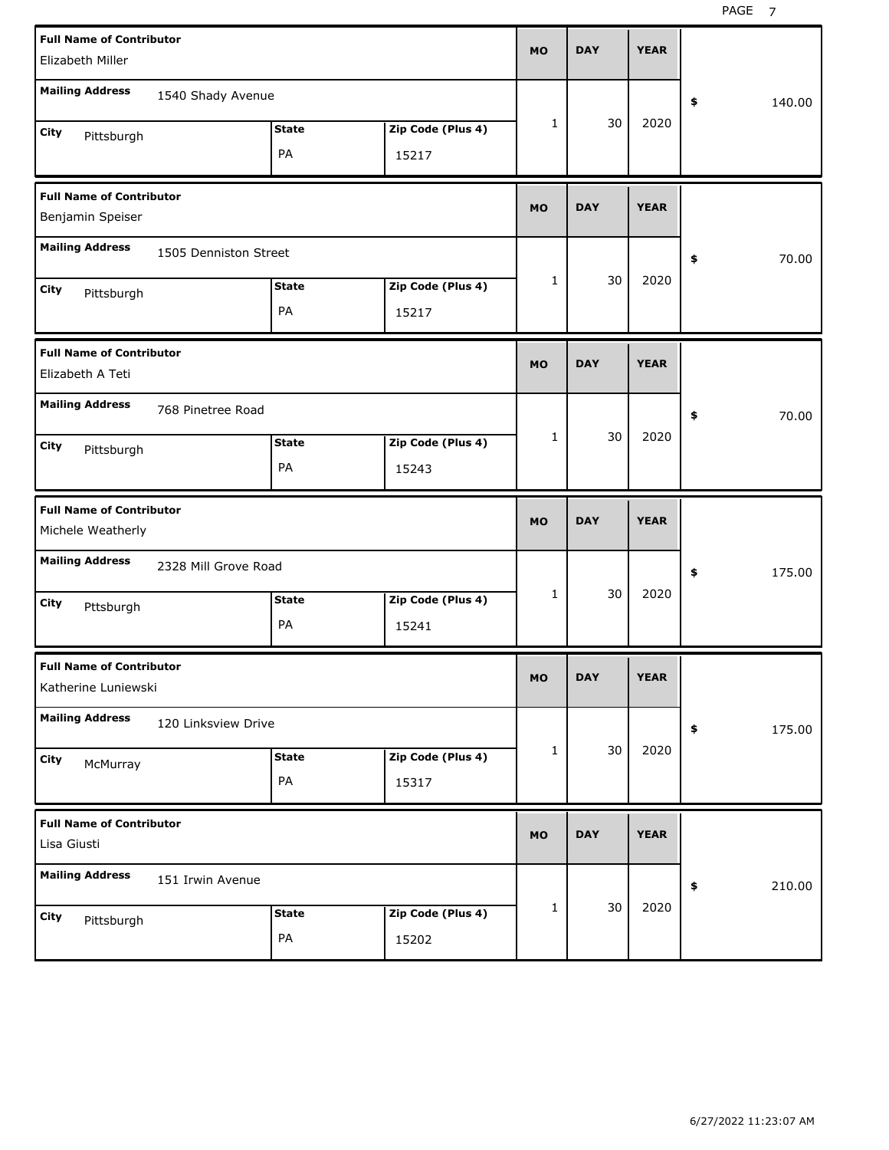| <b>Full Name of Contributor</b><br>Elizabeth Miller    |                       |                    |                            | <b>MO</b> | <b>DAY</b> | <b>YEAR</b> |              |
|--------------------------------------------------------|-----------------------|--------------------|----------------------------|-----------|------------|-------------|--------------|
| <b>Mailing Address</b>                                 | 1540 Shady Avenue     |                    |                            |           |            |             | \$<br>140.00 |
| City<br>Pittsburgh                                     |                       | <b>State</b><br>PA | Zip Code (Plus 4)<br>15217 | 1         | 30         | 2020        |              |
| <b>Full Name of Contributor</b><br>Benjamin Speiser    |                       |                    |                            | <b>MO</b> | <b>DAY</b> | <b>YEAR</b> |              |
| <b>Mailing Address</b>                                 | 1505 Denniston Street |                    |                            |           |            |             | 70.00<br>\$  |
| City<br>Pittsburgh                                     |                       | <b>State</b><br>PA | Zip Code (Plus 4)<br>15217 | 1         | 30         | 2020        |              |
| <b>Full Name of Contributor</b><br>Elizabeth A Teti    |                       |                    |                            | <b>MO</b> | <b>DAY</b> | <b>YEAR</b> |              |
| <b>Mailing Address</b>                                 | 768 Pinetree Road     |                    |                            | 1         | 30         | 2020        | 70.00<br>\$  |
| City<br>Pittsburgh                                     |                       | <b>State</b><br>PA | Zip Code (Plus 4)<br>15243 |           |            |             |              |
|                                                        |                       |                    |                            |           |            |             |              |
| <b>Full Name of Contributor</b><br>Michele Weatherly   |                       |                    |                            | <b>MO</b> | <b>DAY</b> | <b>YEAR</b> |              |
| <b>Mailing Address</b>                                 | 2328 Mill Grove Road  |                    |                            |           |            |             | 175.00<br>\$ |
| City<br>Pttsburgh                                      |                       | <b>State</b><br>PA | Zip Code (Plus 4)<br>15241 | 1         | 30         | 2020        |              |
| <b>Full Name of Contributor</b><br>Katherine Luniewski |                       |                    |                            | <b>MO</b> | <b>DAY</b> | <b>YEAR</b> |              |
| <b>Mailing Address</b>                                 | 120 Linksview Drive   |                    |                            |           |            |             | \$<br>175.00 |
| City<br>McMurray                                       |                       | <b>State</b><br>PA | Zip Code (Plus 4)<br>15317 | 1         | 30         | 2020        |              |
| <b>Full Name of Contributor</b><br>Lisa Giusti         |                       |                    |                            | <b>MO</b> | <b>DAY</b> | <b>YEAR</b> |              |
| <b>Mailing Address</b>                                 | 151 Irwin Avenue      |                    |                            | 1         | 30         | 2020        | \$<br>210.00 |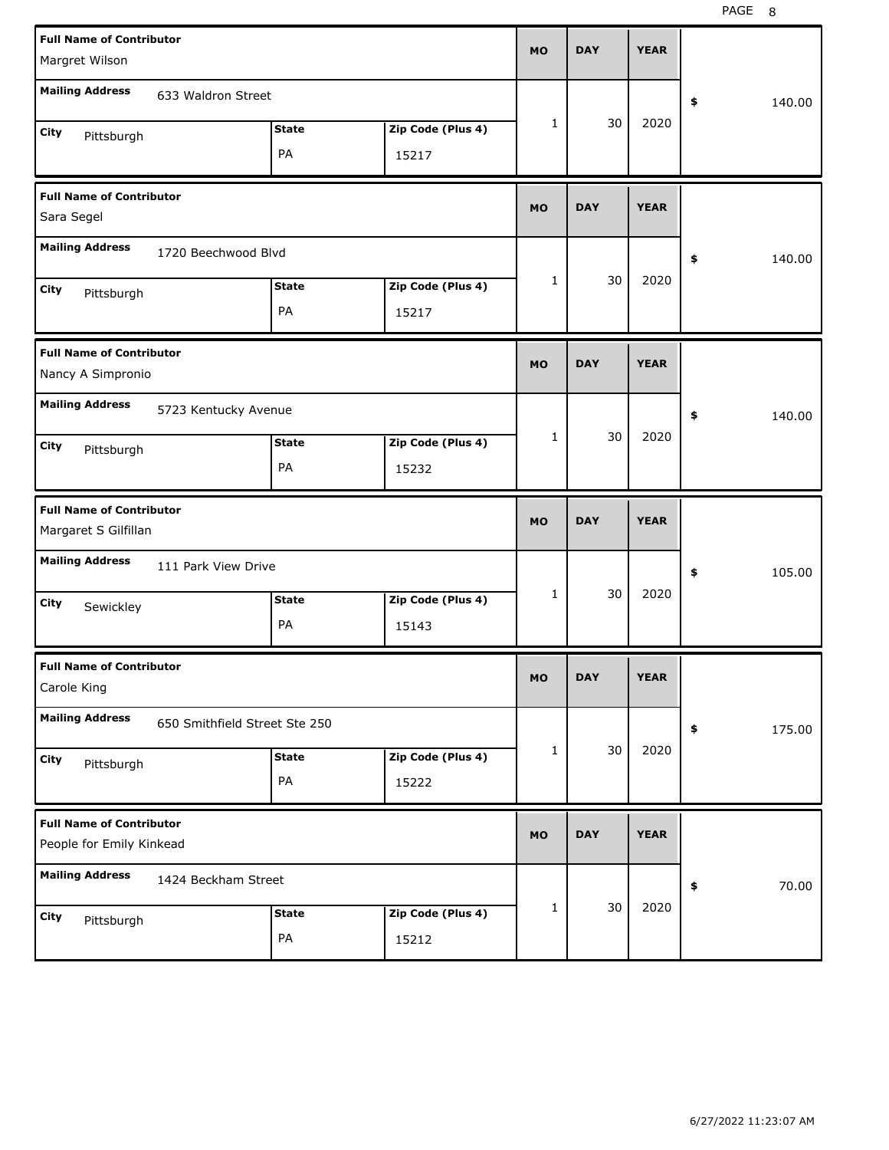| <b>Full Name of Contributor</b><br>Margret Wilson           |                               |                    |                            | <b>MO</b> | <b>DAY</b> | <b>YEAR</b> |              |
|-------------------------------------------------------------|-------------------------------|--------------------|----------------------------|-----------|------------|-------------|--------------|
| <b>Mailing Address</b>                                      | 633 Waldron Street            |                    |                            |           |            |             | \$<br>140.00 |
| City<br>Pittsburgh                                          |                               | <b>State</b><br>PA | Zip Code (Plus 4)<br>15217 | 1         | 30         | 2020        |              |
| <b>Full Name of Contributor</b><br>Sara Segel               |                               |                    |                            | <b>MO</b> | <b>DAY</b> | <b>YEAR</b> |              |
| <b>Mailing Address</b>                                      | 1720 Beechwood Blvd           |                    |                            |           |            |             | \$<br>140.00 |
| City<br>Pittsburgh                                          |                               | <b>State</b><br>PA | Zip Code (Plus 4)<br>15217 | 1         | 30         | 2020        |              |
| <b>Full Name of Contributor</b><br>Nancy A Simpronio        |                               |                    |                            | <b>MO</b> | <b>DAY</b> | <b>YEAR</b> |              |
| <b>Mailing Address</b>                                      | 5723 Kentucky Avenue          |                    |                            |           |            |             | \$<br>140.00 |
| City<br>Pittsburgh                                          |                               | <b>State</b><br>PA | Zip Code (Plus 4)<br>15232 | 1         | 30         | 2020        |              |
|                                                             |                               |                    |                            |           |            |             |              |
| <b>Full Name of Contributor</b><br>Margaret S Gilfillan     |                               |                    |                            | <b>MO</b> | <b>DAY</b> | <b>YEAR</b> |              |
| <b>Mailing Address</b>                                      | 111 Park View Drive           |                    |                            |           |            |             | \$<br>105.00 |
| City<br>Sewickley                                           |                               | <b>State</b><br>PA | Zip Code (Plus 4)<br>15143 | 1         | 30         | 2020        |              |
| <b>Full Name of Contributor</b><br>Carole King              |                               |                    |                            | мo        | <b>DAY</b> | <b>YEAR</b> |              |
| <b>Mailing Address</b>                                      | 650 Smithfield Street Ste 250 |                    |                            |           |            |             | 175.00<br>\$ |
| City<br>Pittsburgh                                          |                               | <b>State</b><br>PA | Zip Code (Plus 4)<br>15222 | 1         | 30         | 2020        |              |
| <b>Full Name of Contributor</b><br>People for Emily Kinkead |                               |                    |                            | <b>MO</b> | <b>DAY</b> | <b>YEAR</b> |              |
| <b>Mailing Address</b>                                      | 1424 Beckham Street           |                    |                            |           | 30         | 2020        | 70.00<br>\$  |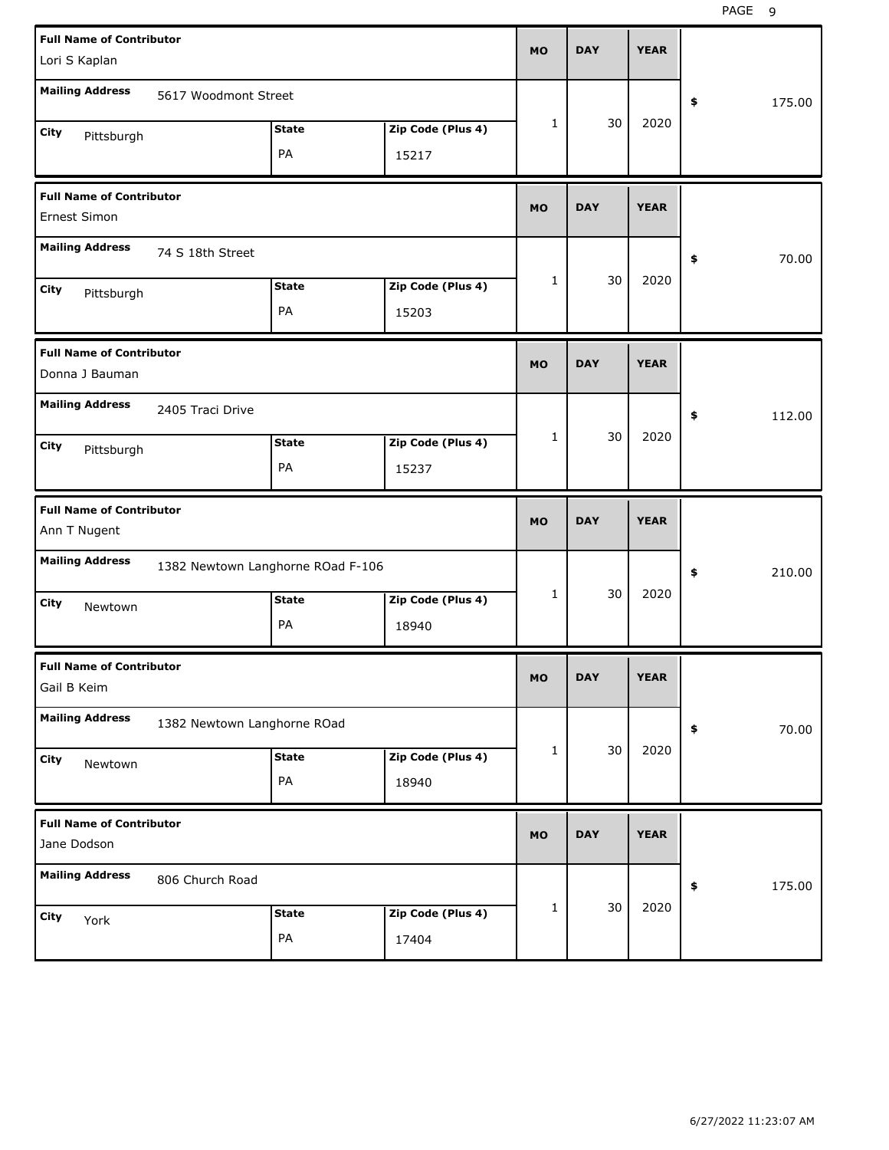| <b>Full Name of Contributor</b><br>Lori S Kaplan  |                             |                                   |                   | <b>MO</b> | <b>DAY</b> | <b>YEAR</b> |                      |       |
|---------------------------------------------------|-----------------------------|-----------------------------------|-------------------|-----------|------------|-------------|----------------------|-------|
| <b>Mailing Address</b>                            | 5617 Woodmont Street        |                                   |                   |           |            |             |                      |       |
|                                                   |                             |                                   |                   | 1         | 30         | 2020        | 175.00<br>\$         |       |
| City<br>Pittsburgh                                |                             | <b>State</b>                      | Zip Code (Plus 4) |           |            |             |                      |       |
|                                                   |                             | PA                                | 15217             |           |            |             |                      |       |
| <b>Full Name of Contributor</b><br>Ernest Simon   |                             |                                   |                   | <b>MO</b> | <b>DAY</b> | <b>YEAR</b> |                      |       |
| <b>Mailing Address</b>                            | 74 S 18th Street            |                                   |                   |           |            |             | \$                   | 70.00 |
| City                                              |                             | <b>State</b>                      | Zip Code (Plus 4) | 1         | 30         | 2020        |                      |       |
| Pittsburgh                                        |                             | PA                                | 15203             |           |            |             |                      |       |
| <b>Full Name of Contributor</b><br>Donna J Bauman |                             |                                   |                   | <b>MO</b> | <b>DAY</b> | <b>YEAR</b> |                      |       |
| <b>Mailing Address</b>                            | 2405 Traci Drive            |                                   |                   |           |            |             | \$<br>112.00         |       |
| City<br>Pittsburgh                                |                             | <b>State</b>                      | Zip Code (Plus 4) | 1         | 30         | 2020        |                      |       |
|                                                   |                             | PA                                | 15237             |           |            |             |                      |       |
|                                                   |                             |                                   |                   |           |            |             |                      |       |
| <b>Full Name of Contributor</b><br>Ann T Nugent   |                             |                                   |                   | <b>MO</b> | <b>DAY</b> | <b>YEAR</b> |                      |       |
| <b>Mailing Address</b>                            |                             | 1382 Newtown Langhorne ROad F-106 |                   |           |            |             | \$<br>210.00         |       |
| City<br>Newtown                                   |                             | <b>State</b>                      | Zip Code (Plus 4) | 1         | 30         | 2020        |                      |       |
|                                                   |                             | PA                                | 18940             |           |            |             |                      |       |
| <b>Full Name of Contributor</b><br>Gail B Keim    |                             |                                   |                   | <b>MO</b> | <b>DAY</b> | <b>YEAR</b> |                      |       |
| <b>Mailing Address</b>                            | 1382 Newtown Langhorne ROad |                                   |                   |           |            |             | $\pmb{\$}$           | 70.00 |
| City                                              |                             | <b>State</b>                      | Zip Code (Plus 4) | 1         | 30         | 2020        |                      |       |
| Newtown                                           |                             | PA                                | 18940             |           |            |             |                      |       |
| <b>Full Name of Contributor</b><br>Jane Dodson    |                             |                                   |                   | <b>MO</b> | <b>DAY</b> | <b>YEAR</b> |                      |       |
| <b>Mailing Address</b>                            | 806 Church Road             |                                   |                   |           |            |             | $\pmb{\$}$<br>175.00 |       |
| City<br>York                                      |                             | <b>State</b>                      | Zip Code (Plus 4) | 1         | 30         | 2020        |                      |       |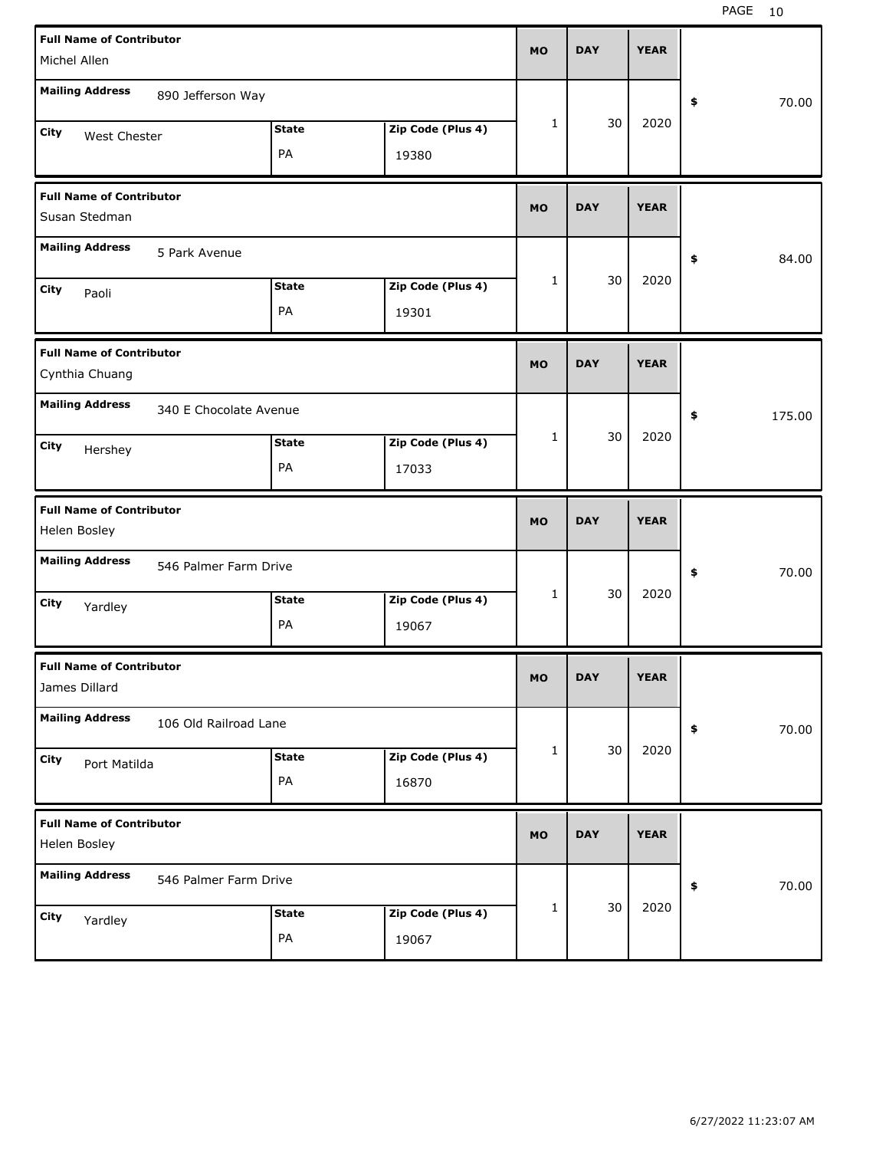| <b>Full Name of Contributor</b><br>Michel Allen   |                        |                    |                            | <b>MO</b> | <b>DAY</b> | <b>YEAR</b> |                     |
|---------------------------------------------------|------------------------|--------------------|----------------------------|-----------|------------|-------------|---------------------|
| <b>Mailing Address</b>                            | 890 Jefferson Way      |                    |                            |           |            |             | 70.00<br>\$         |
| City<br>West Chester                              |                        | <b>State</b><br>PA | Zip Code (Plus 4)<br>19380 | 1         | 30         | 2020        |                     |
| <b>Full Name of Contributor</b><br>Susan Stedman  |                        |                    |                            | <b>MO</b> | <b>DAY</b> | <b>YEAR</b> |                     |
| <b>Mailing Address</b>                            | 5 Park Avenue          |                    |                            |           |            |             | 84.00<br>\$         |
| City<br>Paoli                                     |                        | <b>State</b><br>PA | Zip Code (Plus 4)<br>19301 | 1         | 30         | 2020        |                     |
| <b>Full Name of Contributor</b><br>Cynthia Chuang |                        |                    |                            | <b>MO</b> | <b>DAY</b> | <b>YEAR</b> |                     |
| <b>Mailing Address</b>                            | 340 E Chocolate Avenue |                    |                            |           |            |             | 175.00<br>\$        |
| City<br>Hershey                                   |                        | <b>State</b><br>PA | Zip Code (Plus 4)<br>17033 | 1         | 30         | 2020        |                     |
|                                                   |                        |                    |                            |           |            |             |                     |
| <b>Full Name of Contributor</b><br>Helen Bosley   |                        |                    |                            | <b>MO</b> | <b>DAY</b> | <b>YEAR</b> |                     |
| <b>Mailing Address</b>                            | 546 Palmer Farm Drive  |                    |                            |           |            |             | \$<br>70.00         |
| City<br>Yardley                                   |                        | <b>State</b><br>PA | Zip Code (Plus 4)<br>19067 | 1         | 30         | 2020        |                     |
| <b>Full Name of Contributor</b><br>James Dillard  |                        |                    |                            | <b>MO</b> | <b>DAY</b> | <b>YEAR</b> |                     |
| <b>Mailing Address</b>                            | 106 Old Railroad Lane  |                    |                            |           |            |             | 70.00<br>$\pmb{\$}$ |
| City<br>Port Matilda                              |                        | <b>State</b><br>PA | Zip Code (Plus 4)<br>16870 | 1         | 30         | 2020        |                     |
| <b>Full Name of Contributor</b><br>Helen Bosley   |                        |                    |                            | <b>MO</b> | <b>DAY</b> | <b>YEAR</b> |                     |
| <b>Mailing Address</b>                            | 546 Palmer Farm Drive  |                    |                            |           | 30         | 2020        | 70.00<br>\$         |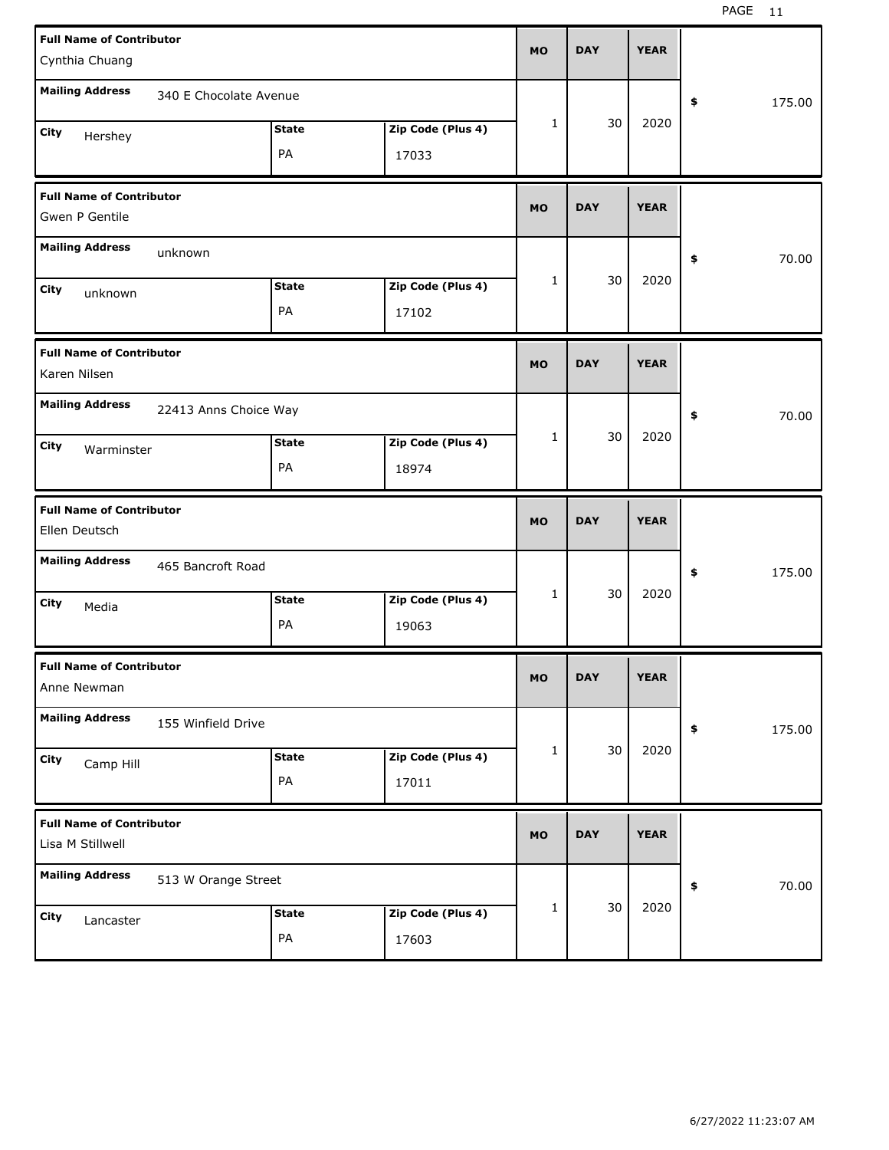| <b>Full Name of Contributor</b><br>Cynthia Chuang   |                        |                   | <b>MO</b> | <b>DAY</b> | <b>YEAR</b> |              |  |
|-----------------------------------------------------|------------------------|-------------------|-----------|------------|-------------|--------------|--|
| <b>Mailing Address</b>                              | 340 E Chocolate Avenue |                   |           |            |             | 175.00<br>\$ |  |
| City<br>Hershey                                     | <b>State</b>           | Zip Code (Plus 4) | 1         | 30         | 2020        |              |  |
|                                                     | PA                     | 17033             |           |            |             |              |  |
| <b>Full Name of Contributor</b><br>Gwen P Gentile   |                        |                   | <b>MO</b> | <b>DAY</b> | <b>YEAR</b> |              |  |
| <b>Mailing Address</b><br>unknown                   |                        |                   |           |            |             | 70.00<br>\$  |  |
| City<br>unknown                                     | <b>State</b>           | Zip Code (Plus 4) | 1         | 30         | 2020        |              |  |
|                                                     | PA                     | 17102             |           |            |             |              |  |
| <b>Full Name of Contributor</b><br>Karen Nilsen     |                        |                   | <b>MO</b> | <b>DAY</b> | <b>YEAR</b> |              |  |
| <b>Mailing Address</b>                              | 22413 Anns Choice Way  |                   |           |            |             | 70.00<br>\$  |  |
| City<br>Warminster                                  | <b>State</b>           | Zip Code (Plus 4) | 1         | 30         | 2020        |              |  |
|                                                     | PA                     | 18974             |           |            |             |              |  |
|                                                     |                        |                   |           |            |             |              |  |
| <b>Full Name of Contributor</b><br>Ellen Deutsch    |                        |                   | <b>MO</b> | <b>DAY</b> | <b>YEAR</b> |              |  |
| <b>Mailing Address</b>                              | 465 Bancroft Road      |                   |           |            |             | 175.00<br>\$ |  |
| City<br>Media                                       | <b>State</b>           | Zip Code (Plus 4) | 1         | 30         | 2020        |              |  |
|                                                     | PA                     | 19063             |           |            |             |              |  |
| <b>Full Name of Contributor</b><br>Anne Newman      |                        |                   | MU.       | <b>DAY</b> | YEAR        |              |  |
| <b>Mailing Address</b>                              | 155 Winfield Drive     |                   |           |            |             | 175.00<br>\$ |  |
| City                                                | <b>State</b>           | Zip Code (Plus 4) | 1         | 30         | 2020        |              |  |
| Camp Hill                                           | PA                     | 17011             |           |            |             |              |  |
| <b>Full Name of Contributor</b><br>Lisa M Stillwell |                        |                   | <b>MO</b> | <b>DAY</b> | <b>YEAR</b> |              |  |
| <b>Mailing Address</b>                              | 513 W Orange Street    |                   |           |            |             | 70.00<br>\$  |  |
| City<br>Lancaster                                   | <b>State</b>           | Zip Code (Plus 4) | 1         | 30         | 2020        |              |  |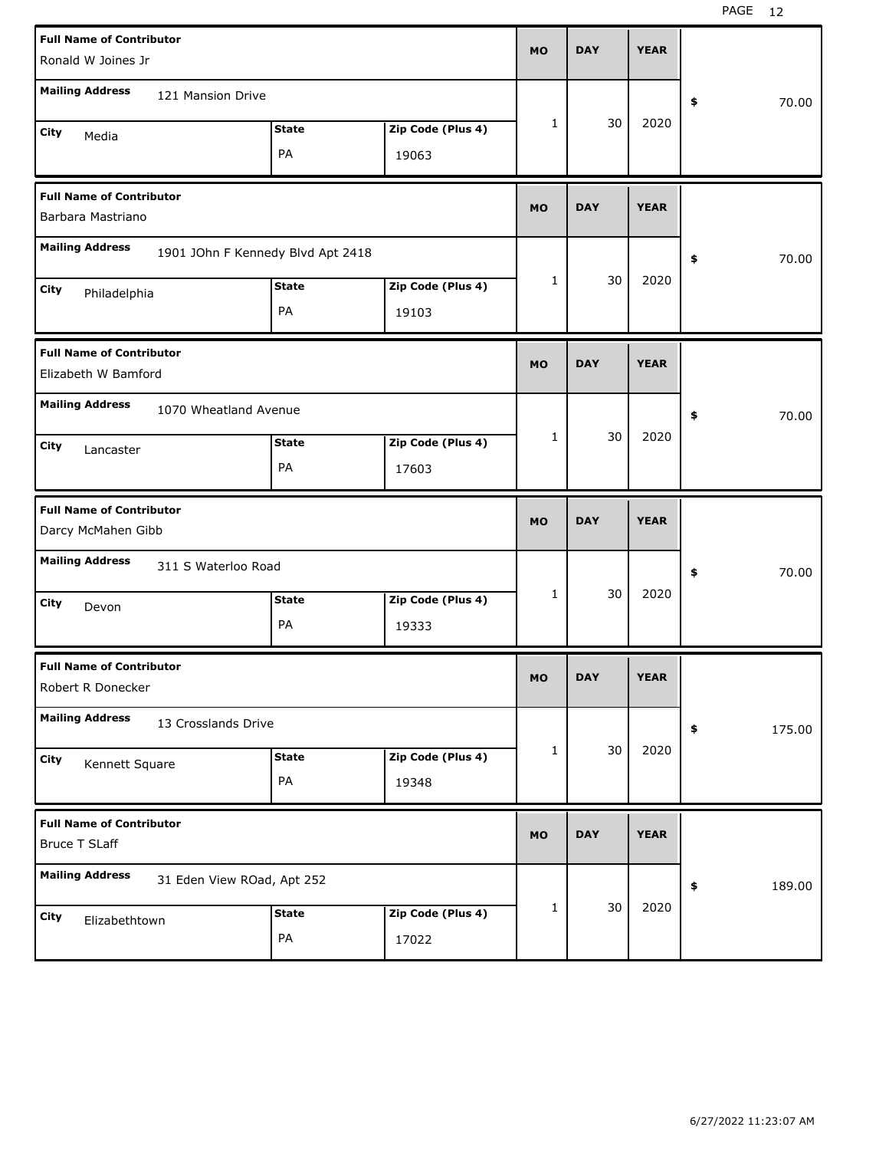| <b>Full Name of Contributor</b>                         |                                   |              |                   |           |            |             |              |
|---------------------------------------------------------|-----------------------------------|--------------|-------------------|-----------|------------|-------------|--------------|
| Ronald W Joines Jr                                      |                                   |              |                   | <b>MO</b> | <b>DAY</b> | <b>YEAR</b> |              |
| <b>Mailing Address</b>                                  | 121 Mansion Drive                 |              |                   |           |            |             | 70.00<br>\$  |
| City                                                    |                                   | <b>State</b> | Zip Code (Plus 4) | 1         | 30         | 2020        |              |
| Media                                                   |                                   | PA           | 19063             |           |            |             |              |
| <b>Full Name of Contributor</b><br>Barbara Mastriano    |                                   |              |                   | <b>MO</b> | <b>DAY</b> | <b>YEAR</b> |              |
| <b>Mailing Address</b>                                  | 1901 JOhn F Kennedy Blvd Apt 2418 |              |                   |           |            |             | 70.00<br>\$  |
| City<br>Philadelphia                                    |                                   | <b>State</b> | Zip Code (Plus 4) | 1         | 30         | 2020        |              |
|                                                         |                                   | PA           | 19103             |           |            |             |              |
| <b>Full Name of Contributor</b><br>Elizabeth W Bamford  |                                   |              |                   | <b>MO</b> | <b>DAY</b> | <b>YEAR</b> |              |
| <b>Mailing Address</b>                                  | 1070 Wheatland Avenue             |              |                   |           |            |             | \$<br>70.00  |
| City<br>Lancaster                                       |                                   | <b>State</b> | Zip Code (Plus 4) | 1         | 30         | 2020        |              |
|                                                         |                                   | PA           | 17603             |           |            |             |              |
|                                                         |                                   |              |                   |           |            |             |              |
| <b>Full Name of Contributor</b><br>Darcy McMahen Gibb   |                                   |              |                   | <b>MO</b> | <b>DAY</b> | <b>YEAR</b> |              |
| <b>Mailing Address</b>                                  | 311 S Waterloo Road               |              |                   |           |            |             | \$<br>70.00  |
| City                                                    |                                   | <b>State</b> | Zip Code (Plus 4) | 1         | 30         | 2020        |              |
| Devon                                                   |                                   | PA           | 19333             |           |            |             |              |
| <b>Full Name of Contributor</b><br>Robert R Donecker    |                                   |              |                   | MO        | <b>DAY</b> | <b>YEAR</b> |              |
| <b>Mailing Address</b>                                  | 13 Crosslands Drive               |              |                   |           |            |             | 175.00<br>\$ |
| City                                                    |                                   | <b>State</b> | Zip Code (Plus 4) | 1         | 30         | 2020        |              |
| Kennett Square                                          |                                   | PA           | 19348             |           |            |             |              |
| <b>Full Name of Contributor</b><br><b>Bruce T SLaff</b> |                                   |              |                   | <b>MO</b> | <b>DAY</b> | <b>YEAR</b> |              |
| <b>Mailing Address</b>                                  | 31 Eden View ROad, Apt 252        |              |                   |           |            |             | 189.00<br>\$ |
| City<br>Elizabethtown                                   |                                   | <b>State</b> | Zip Code (Plus 4) | 1         | 30         | 2020        |              |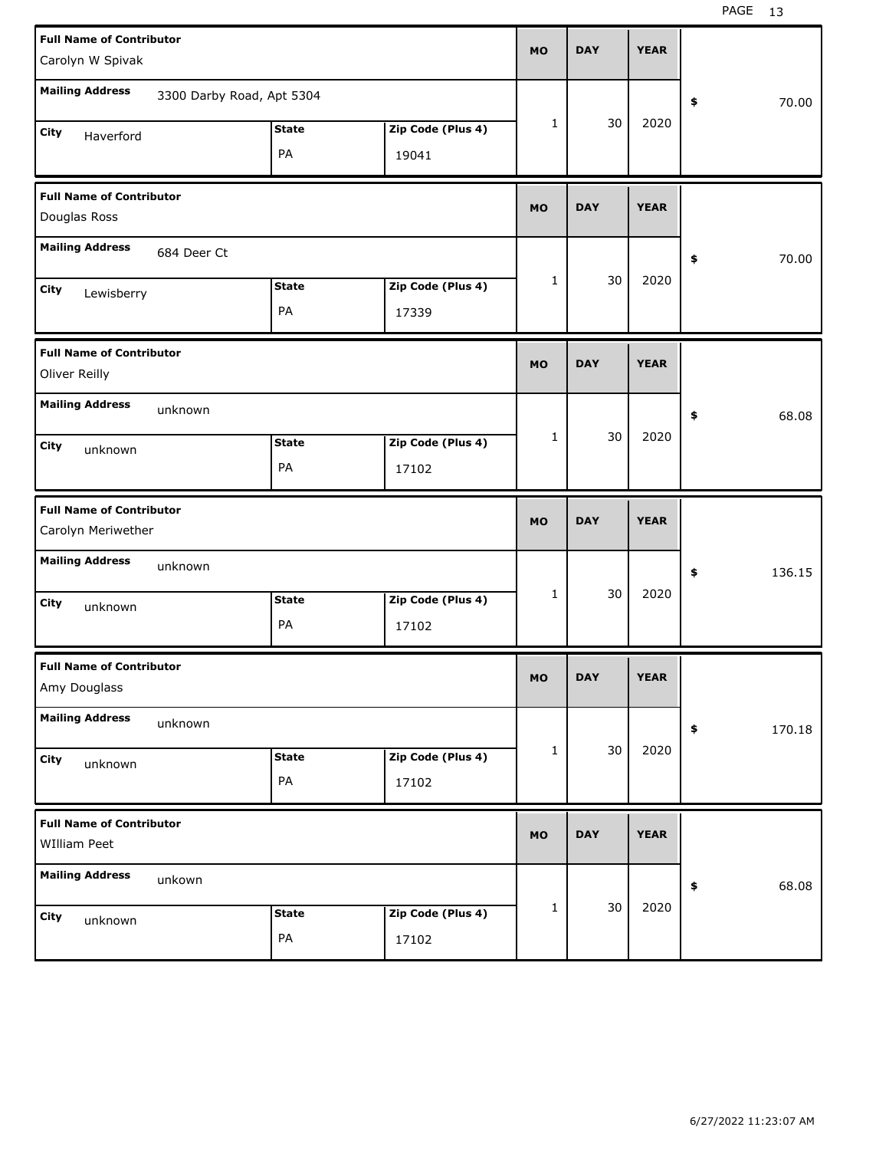| <b>Full Name of Contributor</b><br>Carolyn W Spivak   |                           |                    |                            | <b>MO</b> | <b>DAY</b> | <b>YEAR</b> |                       |
|-------------------------------------------------------|---------------------------|--------------------|----------------------------|-----------|------------|-------------|-----------------------|
| <b>Mailing Address</b>                                | 3300 Darby Road, Apt 5304 |                    |                            |           |            |             | 70.00<br>\$           |
| City<br>Haverford                                     |                           | <b>State</b><br>PA | Zip Code (Plus 4)<br>19041 | 1         | 30         | 2020        |                       |
| <b>Full Name of Contributor</b><br>Douglas Ross       |                           |                    |                            | <b>MO</b> | <b>DAY</b> | <b>YEAR</b> |                       |
| <b>Mailing Address</b>                                | 684 Deer Ct               |                    |                            |           |            |             | 70.00<br>\$           |
| City<br>Lewisberry                                    |                           | <b>State</b><br>PA | Zip Code (Plus 4)<br>17339 | 1         | 30         | 2020        |                       |
| <b>Full Name of Contributor</b><br>Oliver Reilly      |                           |                    |                            | <b>MO</b> | <b>DAY</b> | <b>YEAR</b> |                       |
| <b>Mailing Address</b>                                | unknown                   |                    |                            |           |            |             | 68.08<br>\$           |
| City<br>unknown                                       |                           | <b>State</b><br>PA | Zip Code (Plus 4)<br>17102 | 1         | 30         | 2020        |                       |
|                                                       |                           |                    |                            |           |            |             |                       |
| <b>Full Name of Contributor</b><br>Carolyn Meriwether |                           |                    |                            | <b>MO</b> | <b>DAY</b> | <b>YEAR</b> |                       |
| <b>Mailing Address</b>                                | unknown                   |                    |                            |           |            |             | 136.15<br>\$          |
| City<br>unknown                                       |                           | <b>State</b><br>PA | Zip Code (Plus 4)<br>17102 | 1         | 30         | 2020        |                       |
| <b>Full Name of Contributor</b><br>Amy Douglass       |                           |                    |                            | МO        | <b>DAY</b> | <b>YEAR</b> |                       |
| <b>Mailing Address</b>                                | unknown                   |                    |                            |           |            |             | 170.18<br>$\clubsuit$ |
| City<br>unknown                                       |                           | <b>State</b><br>PA | Zip Code (Plus 4)<br>17102 | 1         | 30         | 2020        |                       |
| <b>Full Name of Contributor</b><br>WIlliam Peet       |                           |                    |                            | <b>MO</b> | <b>DAY</b> | <b>YEAR</b> |                       |
| <b>Mailing Address</b>                                | unkown                    |                    |                            |           | 30         | 2020        | 68.08<br>$\clubsuit$  |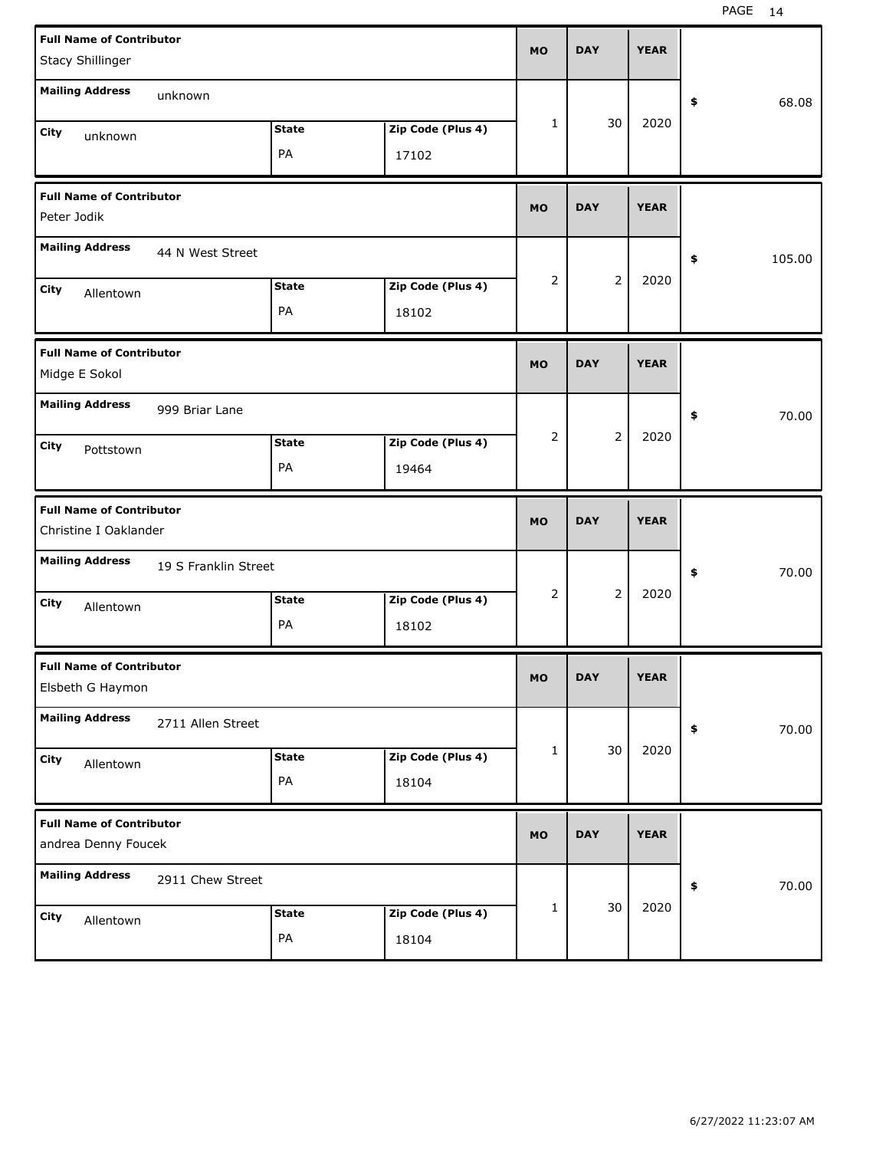| <b>Full Name of Contributor</b><br>Stacy Shillinger      |                      |                    |                            | <b>MO</b>      | <b>DAY</b>     | <b>YEAR</b> |              |
|----------------------------------------------------------|----------------------|--------------------|----------------------------|----------------|----------------|-------------|--------------|
| <b>Mailing Address</b>                                   | unknown              |                    |                            |                |                |             | \$<br>68.08  |
| City<br>unknown                                          |                      | <b>State</b><br>PA | Zip Code (Plus 4)<br>17102 | 1              | 30             | 2020        |              |
| <b>Full Name of Contributor</b><br>Peter Jodik           |                      |                    |                            | <b>MO</b>      | <b>DAY</b>     | <b>YEAR</b> |              |
| <b>Mailing Address</b>                                   | 44 N West Street     |                    |                            |                |                |             | \$<br>105.00 |
| City<br>Allentown                                        |                      | <b>State</b><br>PA | Zip Code (Plus 4)<br>18102 | 2              | $\overline{2}$ | 2020        |              |
| <b>Full Name of Contributor</b><br>Midge E Sokol         |                      |                    |                            | <b>MO</b>      | <b>DAY</b>     | <b>YEAR</b> |              |
| <b>Mailing Address</b>                                   | 999 Briar Lane       |                    |                            |                |                |             | \$<br>70.00  |
| City<br>Pottstown                                        |                      | <b>State</b><br>PA | Zip Code (Plus 4)<br>19464 | $\overline{2}$ | $\overline{2}$ | 2020        |              |
|                                                          |                      |                    |                            |                |                |             |              |
| <b>Full Name of Contributor</b><br>Christine I Oaklander |                      |                    |                            | <b>MO</b>      | <b>DAY</b>     | <b>YEAR</b> |              |
| <b>Mailing Address</b>                                   | 19 S Franklin Street |                    |                            |                |                |             | \$<br>70.00  |
| City<br>Allentown                                        |                      | <b>State</b><br>PA | Zip Code (Plus 4)<br>18102 | 2              | $\overline{2}$ | 2020        |              |
| <b>Full Name of Contributor</b><br>Elsbeth G Haymon      |                      |                    |                            | <b>MO</b>      | DAY            | YEAK        |              |
| <b>Mailing Address</b>                                   | 2711 Allen Street    |                    |                            |                |                |             | 70.00<br>\$  |
| City<br>Allentown                                        |                      | <b>State</b><br>PA | Zip Code (Plus 4)<br>18104 | 1              | 30             | 2020        |              |
| <b>Full Name of Contributor</b><br>andrea Denny Foucek   |                      |                    |                            | <b>MO</b>      | <b>DAY</b>     | <b>YEAR</b> |              |
| <b>Mailing Address</b>                                   | 2911 Chew Street     |                    |                            | 1              | 30             | 2020        | 70.00<br>\$  |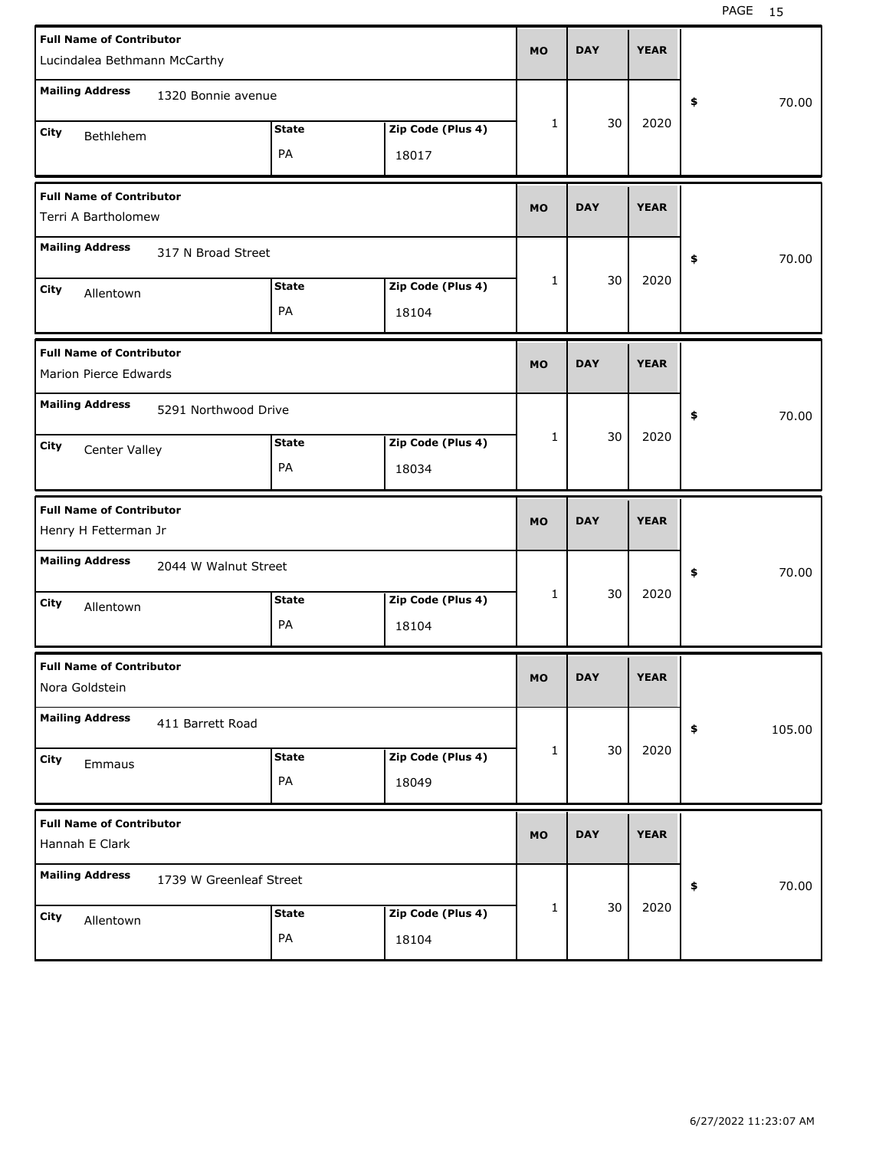| <b>Full Name of Contributor</b><br>Lucindalea Bethmann McCarthy |                    | <b>MO</b>                  | <b>DAY</b> | <b>YEAR</b> |             |              |
|-----------------------------------------------------------------|--------------------|----------------------------|------------|-------------|-------------|--------------|
| <b>Mailing Address</b><br>1320 Bonnie avenue                    |                    |                            |            |             |             | 70.00<br>\$  |
| City<br>Bethlehem                                               | <b>State</b><br>PA | Zip Code (Plus 4)<br>18017 | 1          | 30          | 2020        |              |
| <b>Full Name of Contributor</b><br>Terri A Bartholomew          |                    |                            | <b>MO</b>  | <b>DAY</b>  | <b>YEAR</b> |              |
| <b>Mailing Address</b><br>317 N Broad Street                    |                    |                            |            |             |             | \$<br>70.00  |
| City<br>Allentown                                               | <b>State</b><br>PA | Zip Code (Plus 4)<br>18104 | 1          | 30          | 2020        |              |
| <b>Full Name of Contributor</b><br>Marion Pierce Edwards        |                    |                            | <b>MO</b>  | <b>DAY</b>  | <b>YEAR</b> |              |
| <b>Mailing Address</b><br>5291 Northwood Drive                  |                    |                            |            |             |             | \$<br>70.00  |
| City<br>Center Valley                                           | <b>State</b><br>PA | Zip Code (Plus 4)<br>18034 | 1          | 30          | 2020        |              |
|                                                                 |                    |                            |            |             |             |              |
| <b>Full Name of Contributor</b><br>Henry H Fetterman Jr         |                    |                            | <b>MO</b>  | <b>DAY</b>  | <b>YEAR</b> |              |
| <b>Mailing Address</b><br>2044 W Walnut Street                  |                    |                            |            |             |             | \$<br>70.00  |
| City<br>Allentown                                               | <b>State</b><br>PA | Zip Code (Plus 4)<br>18104 | 1          | 30          | 2020        |              |
| <b>Full Name of Contributor</b><br>Nora Goldstein               |                    |                            | МO         | <b>DAY</b>  | <b>YEAR</b> |              |
| <b>Mailing Address</b><br>411 Barrett Road                      |                    |                            |            |             |             | 105.00<br>\$ |
| City<br>Emmaus                                                  | <b>State</b><br>PA | Zip Code (Plus 4)<br>18049 | 1          | 30          | 2020        |              |
| <b>Full Name of Contributor</b><br>Hannah E Clark               |                    |                            | <b>MO</b>  | <b>DAY</b>  | <b>YEAR</b> |              |
| <b>Mailing Address</b><br>1739 W Greenleaf Street               |                    |                            |            | 30          | 2020        | 70.00<br>\$  |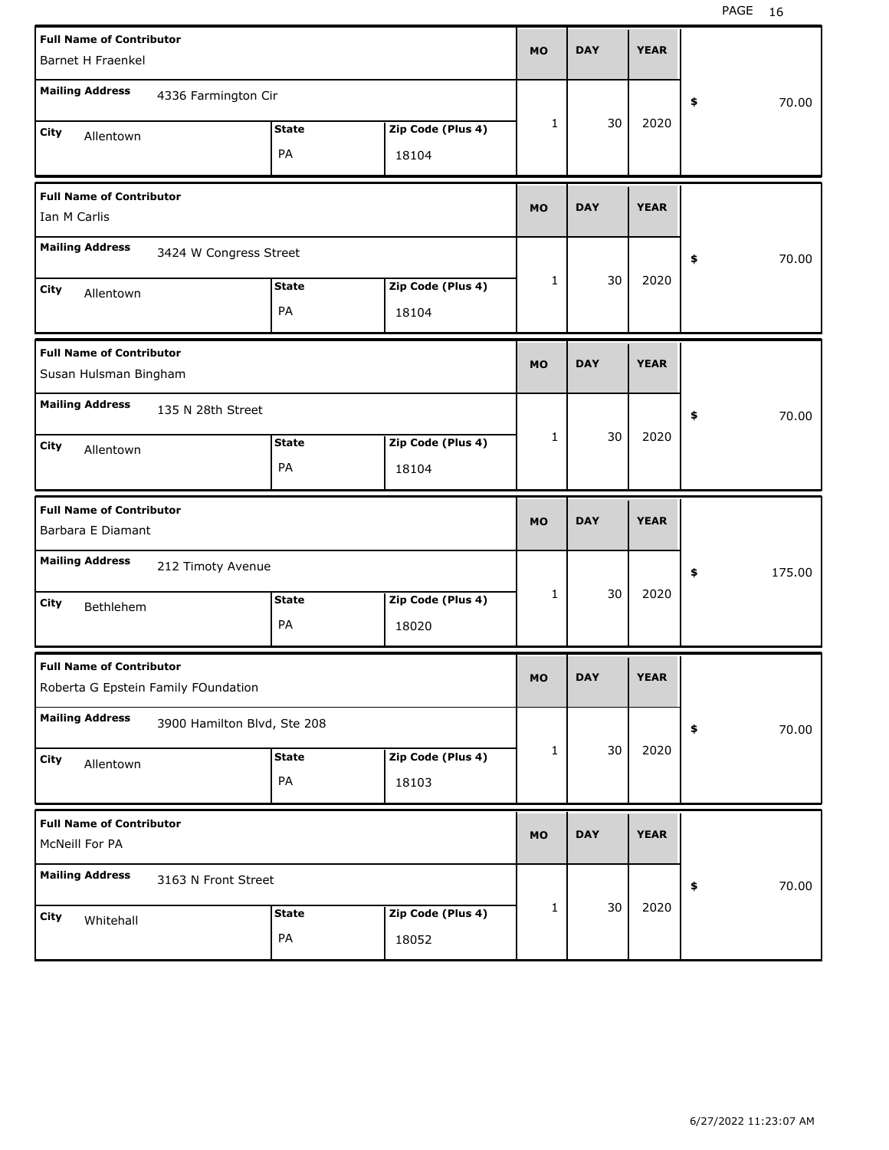| <b>Full Name of Contributor</b><br>Barnet H Fraenkel |                                     | <b>MO</b>    | <b>DAY</b>        | <b>YEAR</b> |            |             |              |
|------------------------------------------------------|-------------------------------------|--------------|-------------------|-------------|------------|-------------|--------------|
|                                                      |                                     |              |                   |             |            |             |              |
| <b>Mailing Address</b>                               | 4336 Farmington Cir                 |              |                   |             |            |             | 70.00<br>\$  |
| <b>City</b><br>Allentown                             |                                     | <b>State</b> | Zip Code (Plus 4) | 1           | 30         | 2020        |              |
|                                                      |                                     | PA           | 18104             |             |            |             |              |
| <b>Full Name of Contributor</b>                      |                                     |              |                   |             |            |             |              |
| Ian M Carlis                                         | <b>MO</b>                           | <b>DAY</b>   | <b>YEAR</b>       |             |            |             |              |
| <b>Mailing Address</b>                               | 3424 W Congress Street              |              |                   |             |            |             | 70.00<br>\$  |
| City<br>Allentown                                    |                                     | <b>State</b> | Zip Code (Plus 4) | 1           | 30         | 2020        |              |
|                                                      |                                     | PA           | 18104             |             |            |             |              |
| <b>Full Name of Contributor</b>                      |                                     |              |                   |             |            |             |              |
| Susan Hulsman Bingham                                |                                     |              |                   | <b>MO</b>   | <b>DAY</b> | <b>YEAR</b> |              |
| <b>Mailing Address</b>                               | 135 N 28th Street                   |              |                   |             |            |             | 70.00<br>\$  |
| City<br>Allentown                                    |                                     | <b>State</b> | Zip Code (Plus 4) | 1           | 30         | 2020        |              |
|                                                      |                                     | PA           | 18104             |             |            |             |              |
|                                                      |                                     |              |                   |             |            |             |              |
| <b>Full Name of Contributor</b>                      |                                     |              |                   |             |            |             |              |
| Barbara E Diamant                                    |                                     |              |                   | <b>MO</b>   | <b>DAY</b> | <b>YEAR</b> |              |
| <b>Mailing Address</b>                               | 212 Timoty Avenue                   |              |                   |             |            |             | \$<br>175.00 |
| City<br>Bethlehem                                    |                                     | <b>State</b> | Zip Code (Plus 4) | 1           | 30         | 2020        |              |
|                                                      |                                     | PA           | 18020             |             |            |             |              |
| <b>Full Name of Contributor</b>                      |                                     |              |                   | <b>MO</b>   | <b>DAY</b> | <b>YEAR</b> |              |
|                                                      | Roberta G Epstein Family FOundation |              |                   |             |            |             |              |
| <b>Mailing Address</b>                               | 3900 Hamilton Blvd, Ste 208         |              |                   |             |            |             | 70.00<br>\$  |
| City<br>Allentown                                    |                                     | <b>State</b> | Zip Code (Plus 4) | 1           | 30         | 2020        |              |
|                                                      |                                     | PA           | 18103             |             |            |             |              |
| <b>Full Name of Contributor</b><br>McNeill For PA    |                                     |              |                   | <b>MO</b>   | <b>DAY</b> | <b>YEAR</b> |              |
| <b>Mailing Address</b>                               | 3163 N Front Street                 |              |                   |             |            |             | 70.00<br>\$  |
| City<br>Whitehall                                    |                                     | <b>State</b> | Zip Code (Plus 4) | 1           | 30         | 2020        |              |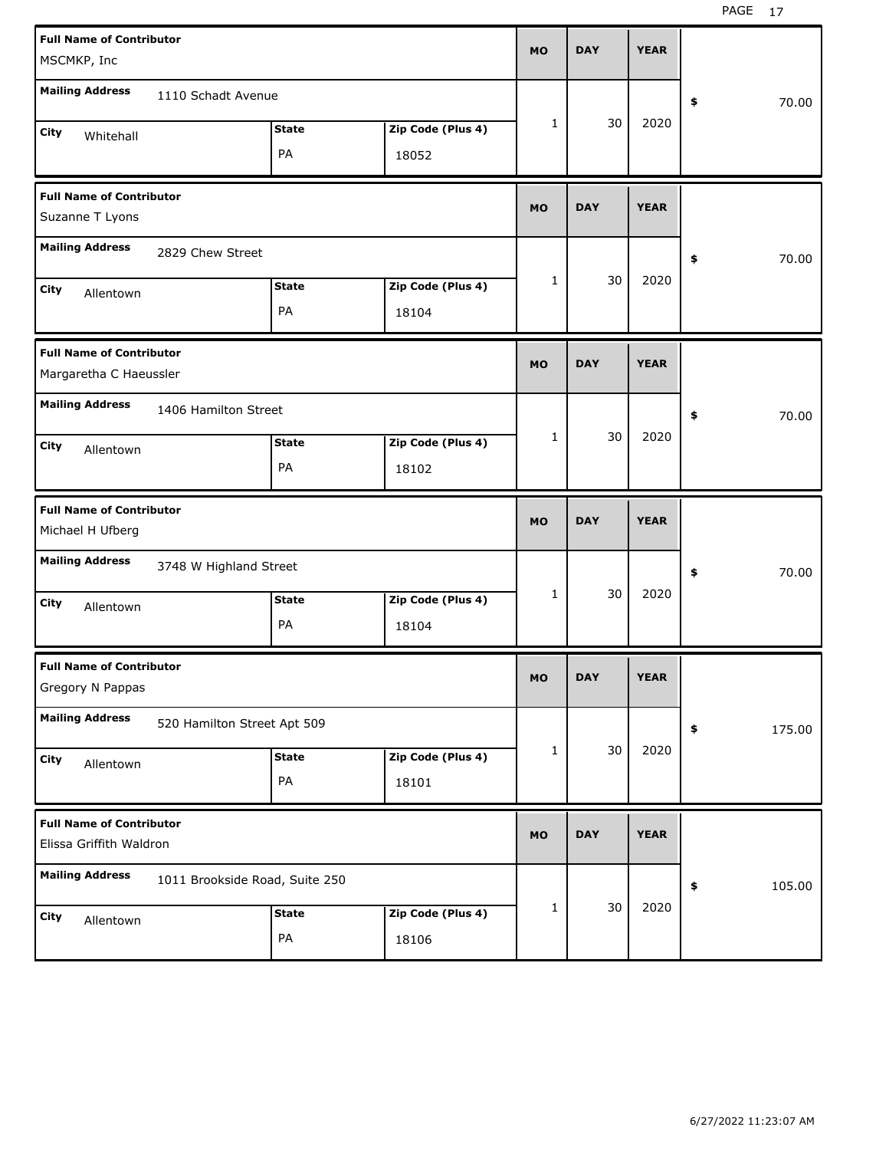| <b>Full Name of Contributor</b><br>MSCMKP, Inc             |                                | <b>MO</b>          | <b>DAY</b>                 | <b>YEAR</b> |            |             |              |
|------------------------------------------------------------|--------------------------------|--------------------|----------------------------|-------------|------------|-------------|--------------|
| <b>Mailing Address</b>                                     | 1110 Schadt Avenue             |                    |                            |             |            |             | \$<br>70.00  |
| City<br>Whitehall                                          |                                | <b>State</b><br>PA | Zip Code (Plus 4)<br>18052 | 1           | 30         | 2020        |              |
| <b>Full Name of Contributor</b><br>Suzanne T Lyons         |                                |                    |                            | <b>MO</b>   | <b>DAY</b> | <b>YEAR</b> |              |
| <b>Mailing Address</b>                                     | 2829 Chew Street               |                    |                            |             |            |             | \$<br>70.00  |
| City<br>Allentown                                          |                                | <b>State</b><br>PA | Zip Code (Plus 4)<br>18104 | 1           | 30         | 2020        |              |
| <b>Full Name of Contributor</b><br>Margaretha C Haeussler  |                                |                    |                            | <b>MO</b>   | <b>DAY</b> | <b>YEAR</b> |              |
| <b>Mailing Address</b>                                     | 1406 Hamilton Street           |                    |                            |             |            |             | \$<br>70.00  |
| City<br>Allentown                                          |                                | <b>State</b><br>PA | Zip Code (Plus 4)<br>18102 | 1           | 30         | 2020        |              |
|                                                            |                                |                    |                            |             |            |             |              |
| <b>Full Name of Contributor</b><br>Michael H Ufberg        |                                |                    |                            | <b>MO</b>   | <b>DAY</b> | <b>YEAR</b> |              |
| <b>Mailing Address</b>                                     | 3748 W Highland Street         |                    |                            |             |            |             | \$<br>70.00  |
| City<br>Allentown                                          |                                | <b>State</b><br>PA | Zip Code (Plus 4)<br>18104 | 1           | 30         | 2020        |              |
| <b>Full Name of Contributor</b><br>Gregory N Pappas        |                                |                    |                            | <b>MO</b>   | <b>DAY</b> | <b>YEAR</b> |              |
| <b>Mailing Address</b>                                     | 520 Hamilton Street Apt 509    |                    |                            |             |            |             | 175.00<br>\$ |
| City<br>Allentown                                          |                                | <b>State</b><br>PA | Zip Code (Plus 4)<br>18101 | 1           | 30         | 2020        |              |
| <b>Full Name of Contributor</b><br>Elissa Griffith Waldron |                                |                    |                            | <b>MO</b>   | <b>DAY</b> | <b>YEAR</b> |              |
| <b>Mailing Address</b>                                     | 1011 Brookside Road, Suite 250 |                    |                            |             |            |             | 105.00<br>\$ |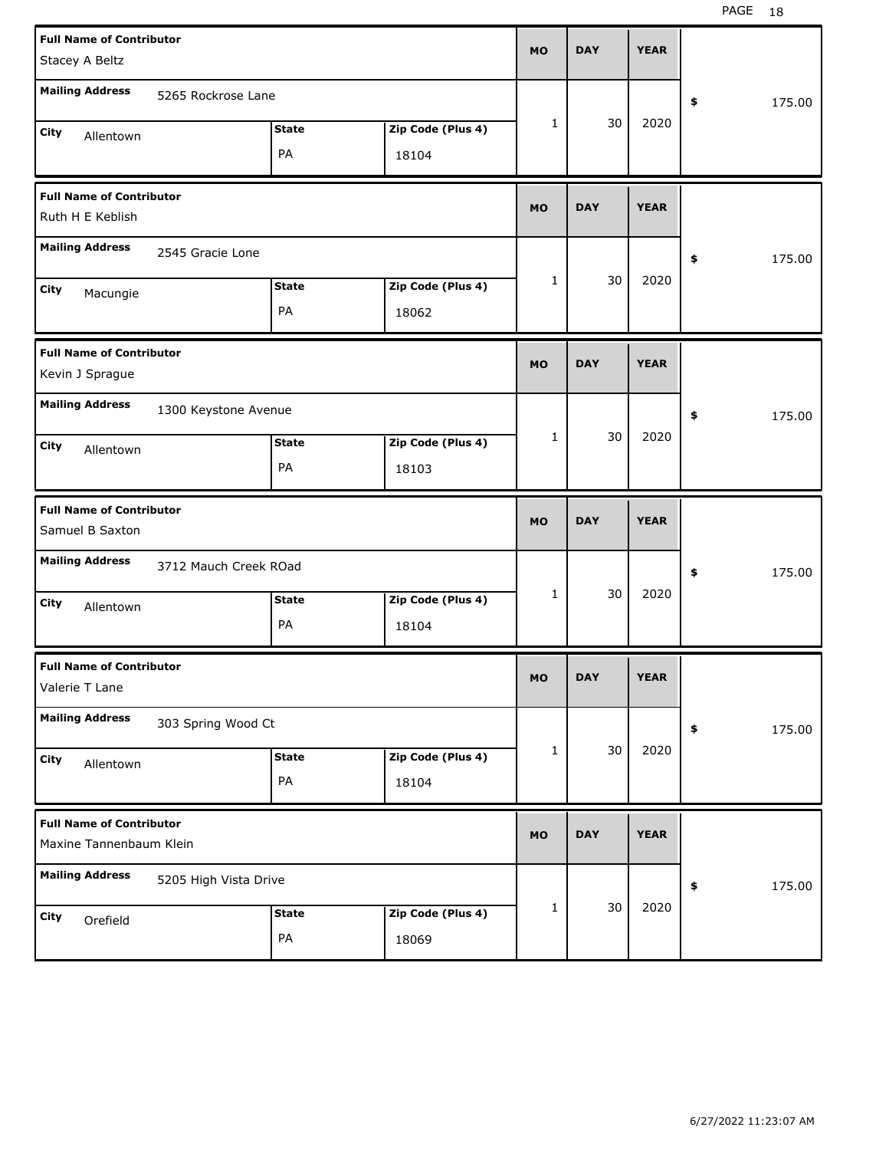| <b>Full Name of Contributor</b> |                       |              |                   | <b>MO</b> | <b>DAY</b> | <b>YEAR</b> |              |
|---------------------------------|-----------------------|--------------|-------------------|-----------|------------|-------------|--------------|
| Stacey A Beltz                  |                       |              |                   |           |            |             |              |
| <b>Mailing Address</b>          | 5265 Rockrose Lane    |              |                   |           |            |             | \$<br>175.00 |
| City<br>Allentown               |                       | <b>State</b> | Zip Code (Plus 4) | 1         | 30         | 2020        |              |
|                                 |                       | PA           | 18104             |           |            |             |              |
| <b>Full Name of Contributor</b> |                       |              |                   | <b>MO</b> | <b>DAY</b> | <b>YEAR</b> |              |
| Ruth H E Keblish                |                       |              |                   |           |            |             |              |
| <b>Mailing Address</b>          | 2545 Gracie Lone      |              |                   |           |            |             | \$<br>175.00 |
| City<br>Macungie                |                       | <b>State</b> | Zip Code (Plus 4) | 1         | 30         | 2020        |              |
|                                 |                       | PA           | 18062             |           |            |             |              |
| <b>Full Name of Contributor</b> |                       |              |                   | <b>MO</b> | <b>DAY</b> | <b>YEAR</b> |              |
| Kevin J Sprague                 |                       |              |                   |           |            |             |              |
| <b>Mailing Address</b>          | 1300 Keystone Avenue  |              |                   |           |            |             | \$<br>175.00 |
| City<br>Allentown               |                       | <b>State</b> | Zip Code (Plus 4) | 1         | 30         | 2020        |              |
|                                 |                       | PA           | 18103             |           |            |             |              |
|                                 |                       |              |                   |           |            |             |              |
| <b>Full Name of Contributor</b> |                       |              |                   | <b>MO</b> | <b>DAY</b> | <b>YEAR</b> |              |
| Samuel B Saxton                 |                       |              |                   |           |            |             |              |
| <b>Mailing Address</b>          | 3712 Mauch Creek ROad |              |                   |           |            |             | \$<br>175.00 |
| City<br>Allentown               |                       | <b>State</b> | Zip Code (Plus 4) | 1         | 30         | 2020        |              |
|                                 |                       | PA           | 18104             |           |            |             |              |
| <b>Full Name of Contributor</b> |                       |              |                   |           |            |             |              |
| Valerie T Lane                  |                       |              |                   | MO        | <b>DAY</b> | <b>YEAR</b> |              |
| <b>Mailing Address</b>          | 303 Spring Wood Ct    |              |                   |           |            |             | \$<br>175.00 |
| City                            |                       | <b>State</b> | Zip Code (Plus 4) | 1         | 30         | 2020        |              |
| Allentown                       |                       | PA           | 18104             |           |            |             |              |
| <b>Full Name of Contributor</b> |                       |              |                   |           |            |             |              |
| Maxine Tannenbaum Klein         |                       |              |                   | MO        | <b>DAY</b> | <b>YEAR</b> |              |
| <b>Mailing Address</b>          | 5205 High Vista Drive |              |                   |           |            |             | \$<br>175.00 |
| City<br>Orefield                |                       | <b>State</b> | Zip Code (Plus 4) | 1         | 30         | 2020        |              |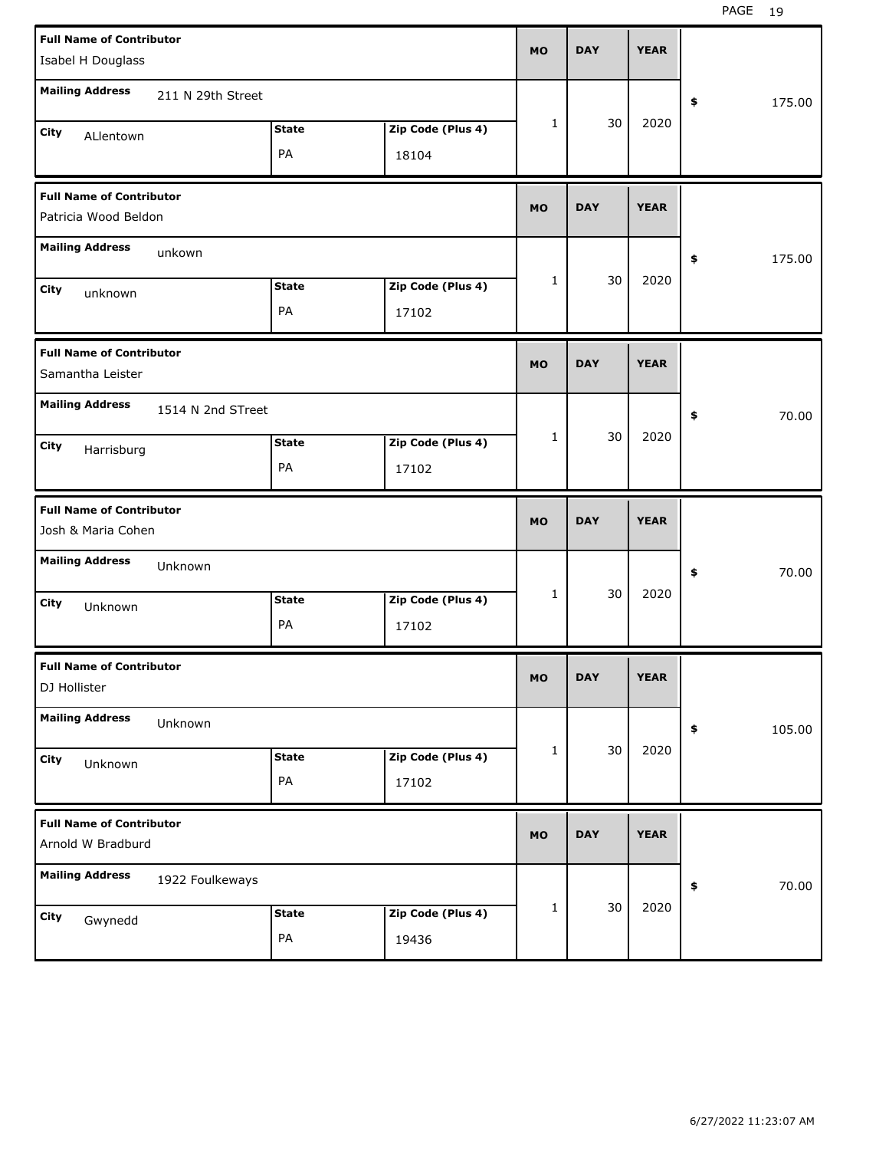| <b>Full Name of Contributor</b><br>Isabel H Douglass    |                   |                               |                            | <b>MO</b>    | <b>DAY</b> | <b>YEAR</b> |                        |
|---------------------------------------------------------|-------------------|-------------------------------|----------------------------|--------------|------------|-------------|------------------------|
| <b>Mailing Address</b>                                  | 211 N 29th Street |                               |                            |              |            |             | \$<br>175.00           |
| City<br>ALlentown                                       |                   | <b>State</b><br>PA            | Zip Code (Plus 4)<br>18104 | $\mathbf{1}$ | 30         | 2020        |                        |
| <b>Full Name of Contributor</b><br>Patricia Wood Beldon |                   |                               |                            | <b>MO</b>    | <b>DAY</b> | <b>YEAR</b> |                        |
| <b>Mailing Address</b>                                  | unkown            |                               |                            |              |            |             | \$<br>175.00           |
| City<br>unknown                                         |                   | <b>State</b><br>PA            | Zip Code (Plus 4)<br>17102 | $\mathbf{1}$ | 30         | 2020        |                        |
| <b>Full Name of Contributor</b><br>Samantha Leister     |                   |                               |                            | <b>MO</b>    | <b>DAY</b> | <b>YEAR</b> |                        |
| <b>Mailing Address</b><br>City<br>Harrisburg            | 1514 N 2nd STreet | <b>State</b><br>PA            | Zip Code (Plus 4)<br>17102 | $\mathbf{1}$ | 30         | 2020        | 70.00<br>\$            |
|                                                         |                   |                               |                            |              |            |             |                        |
| <b>Full Name of Contributor</b><br>Josh & Maria Cohen   |                   |                               |                            | <b>MO</b>    | <b>DAY</b> | <b>YEAR</b> |                        |
| <b>Mailing Address</b>                                  | Unknown           |                               |                            |              |            |             | 70.00<br>\$            |
| City<br>Unknown                                         |                   | <b>State</b><br>PA            | Zip Code (Plus 4)<br>17102 | $\mathbf{1}$ | 30         | 2020        |                        |
| <b>Full Name of Contributor</b><br>DJ Hollister         |                   |                               |                            | МO           | <b>DAY</b> | <b>YEAR</b> |                        |
| <b>Mailing Address</b>                                  | Unknown           |                               |                            |              |            |             | $\pmb{\ast}$<br>105.00 |
| City<br>Unknown                                         |                   | <b>State</b><br>$\mathsf{PA}$ | Zip Code (Plus 4)<br>17102 | $\mathbf{1}$ | 30         | 2020        |                        |
| <b>Full Name of Contributor</b><br>Arnold W Bradburd    |                   |                               |                            | <b>MO</b>    | <b>DAY</b> | <b>YEAR</b> |                        |
| <b>Mailing Address</b>                                  | 1922 Foulkeways   |                               |                            |              | 30         | 2020        | 70.00<br>\$            |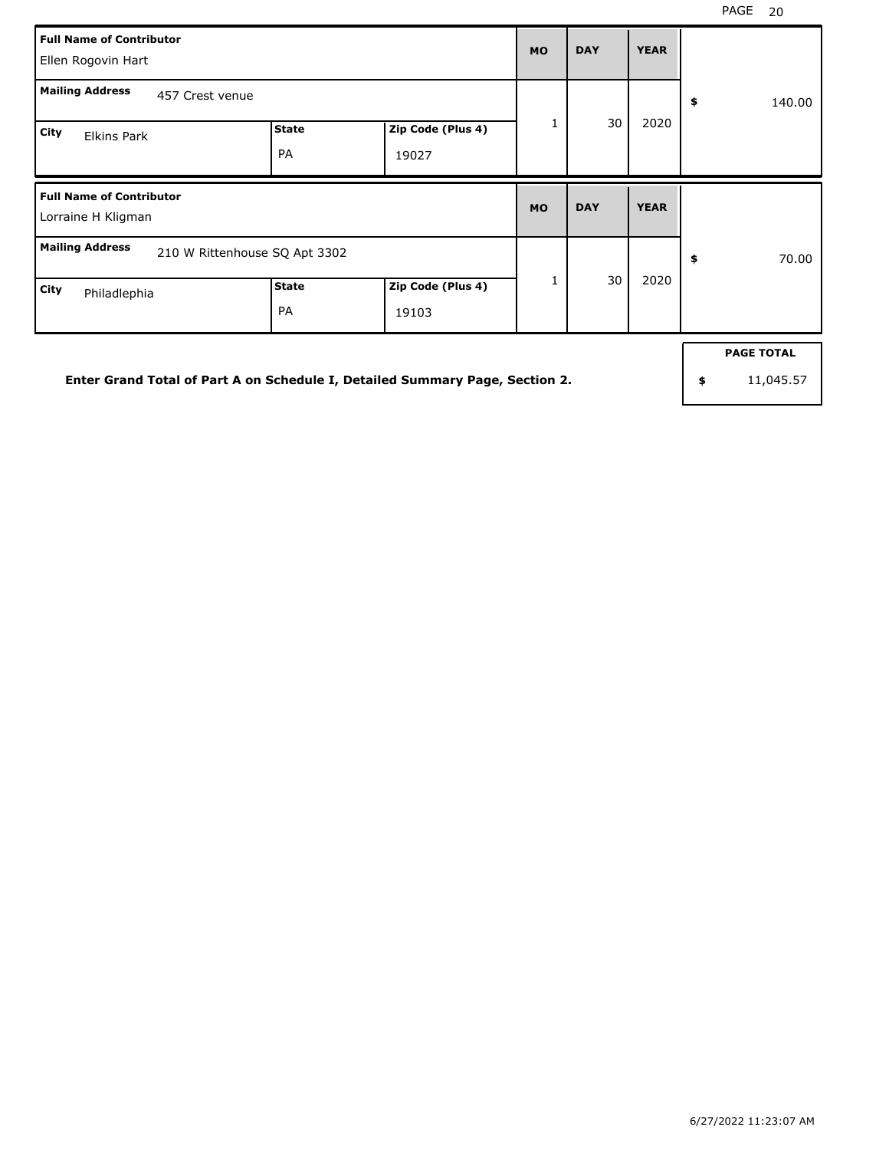| <b>Full Name of Contributor</b><br>Ellen Rogovin Hart   |                    |                            |           | <b>DAY</b> | <b>YEAR</b> |              |
|---------------------------------------------------------|--------------------|----------------------------|-----------|------------|-------------|--------------|
| <b>Mailing Address</b><br>457 Crest venue               |                    |                            |           |            |             | \$<br>140.00 |
| City<br>Elkins Park                                     | <b>State</b><br>PA | Zip Code (Plus 4)<br>19027 | 1         | 30         | 2020        |              |
| <b>Full Name of Contributor</b>                         |                    |                            | <b>MO</b> | <b>DAY</b> | <b>YEAR</b> |              |
| Lorraine H Kligman                                      |                    |                            |           |            |             |              |
| <b>Mailing Address</b><br>210 W Rittenhouse SQ Apt 3302 |                    |                            | 1         | 30         | 2020        | \$<br>70.00  |

**Enter Grand Total of Part A on Schedule I, Detailed Summary Page, Section 2.**

**PAGE TOTAL**

**\$** 11,045.57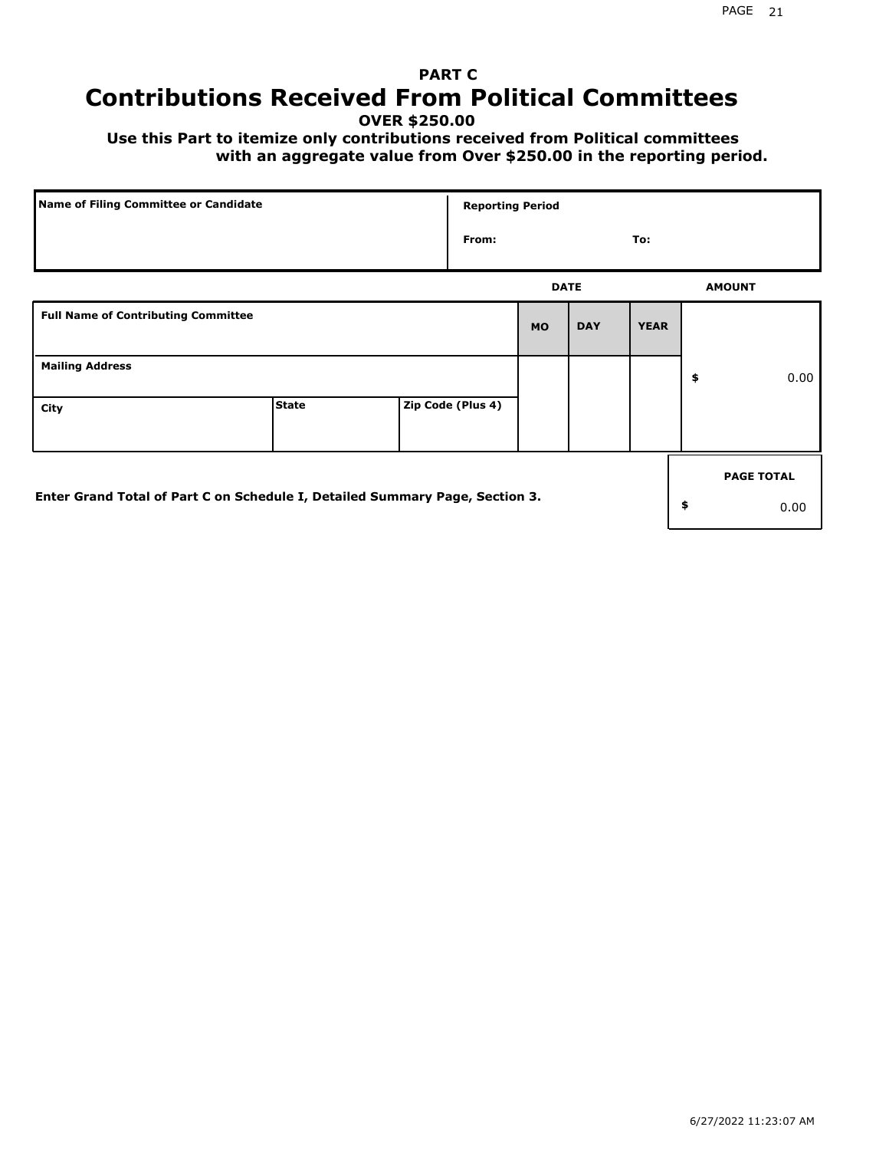# **PART C Contributions Received From Political Committees**

**OVER \$250.00**

 **Use this Part to itemize only contributions received from Political committees with an aggregate value from Over \$250.00 in the reporting period.**

| Name of Filing Committee or Candidate                                        |              |  | <b>Reporting Period</b> |             |            |             |                   |
|------------------------------------------------------------------------------|--------------|--|-------------------------|-------------|------------|-------------|-------------------|
|                                                                              |              |  | From:                   |             |            | To:         |                   |
|                                                                              |              |  |                         | <b>DATE</b> |            |             | <b>AMOUNT</b>     |
| <b>Full Name of Contributing Committee</b>                                   |              |  |                         | <b>MO</b>   | <b>DAY</b> | <b>YEAR</b> |                   |
| <b>Mailing Address</b>                                                       |              |  |                         |             |            |             | \$<br>0.00        |
| City                                                                         | <b>State</b> |  | Zip Code (Plus 4)       |             |            |             |                   |
|                                                                              |              |  |                         |             |            |             | <b>PAGE TOTAL</b> |
| Enter Grand Total of Part C on Schedule I, Detailed Summary Page, Section 3. |              |  |                         |             |            |             | \$<br>0.00        |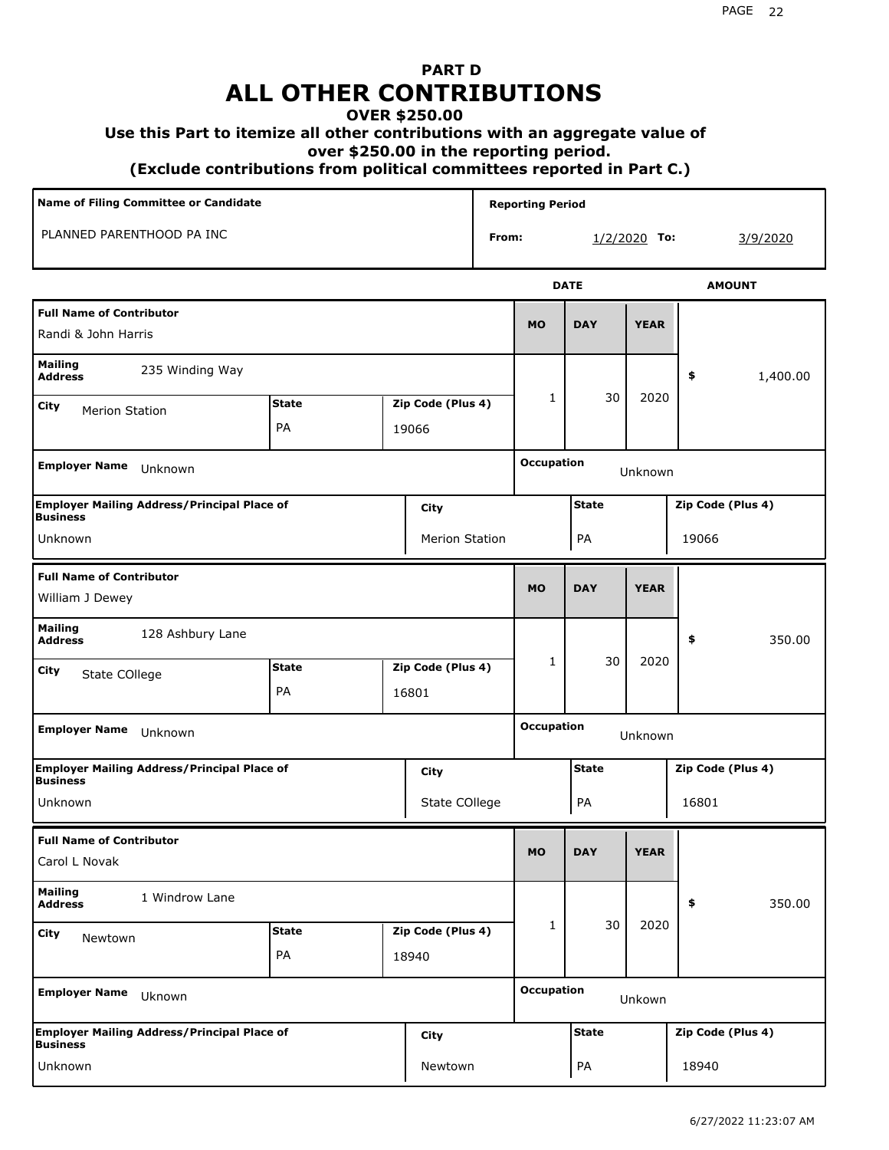# **PART D ALL OTHER CONTRIBUTIONS**

#### **OVER \$250.00**

#### **Use this Part to itemize all other contributions with an aggregate value of**

 **over \$250.00 in the reporting period.**

 **(Exclude contributions from political committees reported in Part C.)** 

| Name of Filing Committee or Candidate                                 |                                   |  |                       | <b>Reporting Period</b> |                              |              |                |                   |  |
|-----------------------------------------------------------------------|-----------------------------------|--|-----------------------|-------------------------|------------------------------|--------------|----------------|-------------------|--|
| PLANNED PARENTHOOD PA INC                                             | From:                             |  |                       |                         |                              |              | $1/2/2020$ To: | 3/9/2020          |  |
|                                                                       |                                   |  |                       |                         |                              | <b>DATE</b>  |                | <b>AMOUNT</b>     |  |
| <b>Full Name of Contributor</b><br>Randi & John Harris                |                                   |  |                       |                         |                              | <b>DAY</b>   | <b>YEAR</b>    |                   |  |
| <b>Mailing</b><br>235 Winding Way<br><b>Address</b>                   |                                   |  |                       |                         |                              |              | \$<br>1,400.00 |                   |  |
| <b>City</b><br><b>Merion Station</b>                                  | <b>State</b><br>Zip Code (Plus 4) |  |                       |                         | 1                            | 30           | 2020           |                   |  |
|                                                                       | PA<br>19066                       |  |                       |                         |                              |              |                |                   |  |
| <b>Employer Name</b><br>Unknown                                       |                                   |  |                       |                         | <b>Occupation</b>            |              | Unknown        |                   |  |
| <b>Employer Mailing Address/Principal Place of</b><br><b>Business</b> |                                   |  | <b>City</b>           |                         |                              | <b>State</b> |                | Zip Code (Plus 4) |  |
| Unknown                                                               |                                   |  | <b>Merion Station</b> |                         |                              | PA           |                | 19066             |  |
| <b>Full Name of Contributor</b><br>William J Dewey                    |                                   |  |                       |                         | <b>MO</b>                    | <b>DAY</b>   | <b>YEAR</b>    |                   |  |
| <b>Mailing</b><br>128 Ashbury Lane<br><b>Address</b>                  |                                   |  |                       |                         |                              |              |                | \$<br>350.00      |  |
| City<br>State COllege                                                 | <b>State</b>                      |  | Zip Code (Plus 4)     |                         | 1                            | 30           | 2020           |                   |  |
|                                                                       | PA                                |  | 16801                 |                         |                              |              |                |                   |  |
| <b>Employer Name</b><br>Unknown                                       |                                   |  |                       |                         | <b>Occupation</b><br>Unknown |              |                |                   |  |
| <b>Employer Mailing Address/Principal Place of</b><br><b>Business</b> |                                   |  | City                  |                         |                              | <b>State</b> |                | Zip Code (Plus 4) |  |
| Unknown                                                               |                                   |  | State COllege         |                         |                              | PA           |                | 16801             |  |
| <b>Full Name of Contributor</b><br>Carol L Novak                      |                                   |  |                       |                         | <b>MO</b>                    | <b>DAY</b>   | <b>YEAR</b>    |                   |  |
| <b>Mailing</b><br>1 Windrow Lane<br><b>Address</b>                    |                                   |  |                       |                         |                              |              |                | \$<br>350.00      |  |
| City<br>Newtown                                                       | <b>State</b>                      |  | Zip Code (Plus 4)     |                         | 1                            | 30           | 2020           |                   |  |
|                                                                       | PA                                |  | 18940                 |                         |                              |              |                |                   |  |
| <b>Employer Name</b><br>Uknown                                        |                                   |  |                       |                         | <b>Occupation</b>            |              | Unkown         |                   |  |
| <b>Employer Mailing Address/Principal Place of</b><br><b>Business</b> |                                   |  | <b>City</b>           |                         |                              | <b>State</b> |                | Zip Code (Plus 4) |  |
| Unknown                                                               |                                   |  | Newtown               |                         |                              | PA           |                | 18940             |  |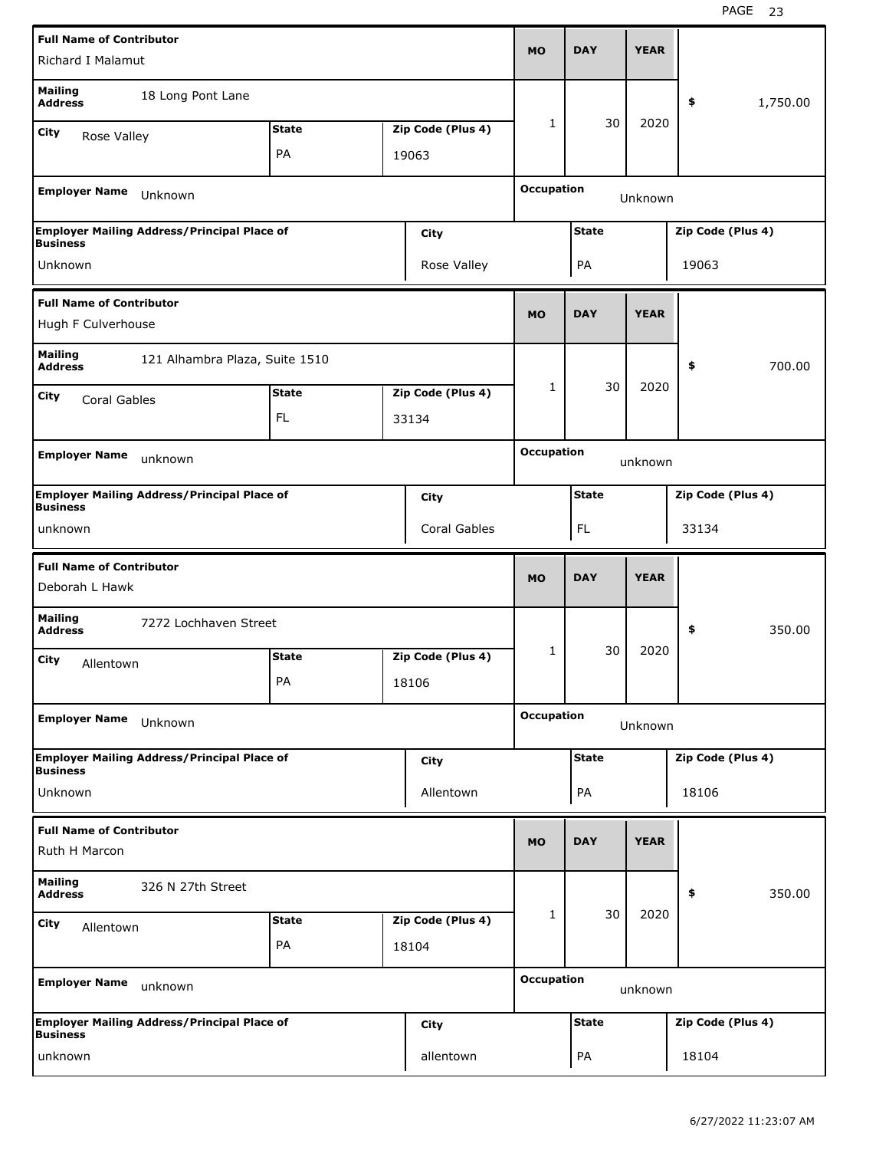| <b>Full Name of Contributor</b>                  |                                                    |              |  | <b>MO</b>         | <b>DAY</b>        | <b>YEAR</b>  |             |                   |          |
|--------------------------------------------------|----------------------------------------------------|--------------|--|-------------------|-------------------|--------------|-------------|-------------------|----------|
| Richard I Malamut                                |                                                    |              |  |                   |                   |              |             |                   |          |
| <b>Mailing</b><br><b>Address</b>                 | 18 Long Pont Lane                                  |              |  |                   |                   |              |             | \$                | 1,750.00 |
| City<br>Rose Valley                              |                                                    | <b>State</b> |  | Zip Code (Plus 4) | $\mathbf{1}$      | 30           | 2020        |                   |          |
|                                                  |                                                    | PA           |  | 19063             |                   |              |             |                   |          |
| <b>Employer Name</b>                             | Unknown                                            |              |  |                   | <b>Occupation</b> |              | Unknown     |                   |          |
| <b>Business</b>                                  | <b>Employer Mailing Address/Principal Place of</b> |              |  | City              |                   | <b>State</b> |             | Zip Code (Plus 4) |          |
| Unknown                                          |                                                    |              |  | Rose Valley       |                   | PA           |             | 19063             |          |
| <b>Full Name of Contributor</b>                  |                                                    |              |  |                   |                   |              |             |                   |          |
| Hugh F Culverhouse                               |                                                    |              |  |                   | <b>MO</b>         | <b>DAY</b>   | <b>YEAR</b> |                   |          |
| <b>Mailing</b><br><b>Address</b>                 | 121 Alhambra Plaza, Suite 1510                     |              |  |                   |                   |              |             | \$                | 700.00   |
| City<br>Coral Gables                             |                                                    | <b>State</b> |  | Zip Code (Plus 4) | 1                 | 30           | 2020        |                   |          |
|                                                  |                                                    | FL           |  | 33134             |                   |              |             |                   |          |
| <b>Employer Name</b>                             |                                                    |              |  |                   | <b>Occupation</b> |              |             |                   |          |
|                                                  | unknown                                            |              |  |                   |                   |              | unknown     |                   |          |
| <b>Business</b>                                  | <b>Employer Mailing Address/Principal Place of</b> |              |  | City              |                   | <b>State</b> |             | Zip Code (Plus 4) |          |
| unknown                                          |                                                    |              |  | Coral Gables      |                   | FL           |             | 33134             |          |
|                                                  |                                                    |              |  |                   |                   |              |             |                   |          |
| <b>Full Name of Contributor</b>                  |                                                    |              |  |                   |                   |              |             |                   |          |
| Deborah L Hawk                                   |                                                    |              |  |                   | <b>MO</b>         | <b>DAY</b>   | <b>YEAR</b> |                   |          |
| <b>Mailing</b><br><b>Address</b>                 | 7272 Lochhaven Street                              |              |  |                   |                   |              |             | \$                | 350.00   |
| City                                             |                                                    | <b>State</b> |  | Zip Code (Plus 4) | 1                 | 30           | 2020        |                   |          |
| Allentown                                        |                                                    | PA           |  | 18106             |                   |              |             |                   |          |
| <b>Employer Name</b>                             | Unknown                                            |              |  |                   | <b>Occupation</b> |              | Unknown     |                   |          |
|                                                  | <b>Employer Mailing Address/Principal Place of</b> |              |  | City              |                   | <b>State</b> |             | Zip Code (Plus 4) |          |
| <b>Business</b><br>Unknown                       |                                                    |              |  | Allentown         |                   | PA           |             | 18106             |          |
|                                                  |                                                    |              |  |                   |                   |              |             |                   |          |
| <b>Full Name of Contributor</b><br>Ruth H Marcon |                                                    |              |  |                   | <b>MO</b>         | <b>DAY</b>   | <b>YEAR</b> |                   |          |
| Mailing<br><b>Address</b>                        | 326 N 27th Street                                  |              |  |                   |                   |              |             | \$                | 350.00   |
| City<br>Allentown                                |                                                    | <b>State</b> |  | Zip Code (Plus 4) | 1                 | 30           | 2020        |                   |          |
|                                                  |                                                    | PA           |  | 18104             |                   |              |             |                   |          |
| <b>Employer Name</b>                             | unknown                                            |              |  |                   | <b>Occupation</b> |              | unknown     |                   |          |
| <b>Business</b>                                  | <b>Employer Mailing Address/Principal Place of</b> |              |  | City              |                   | <b>State</b> |             | Zip Code (Plus 4) |          |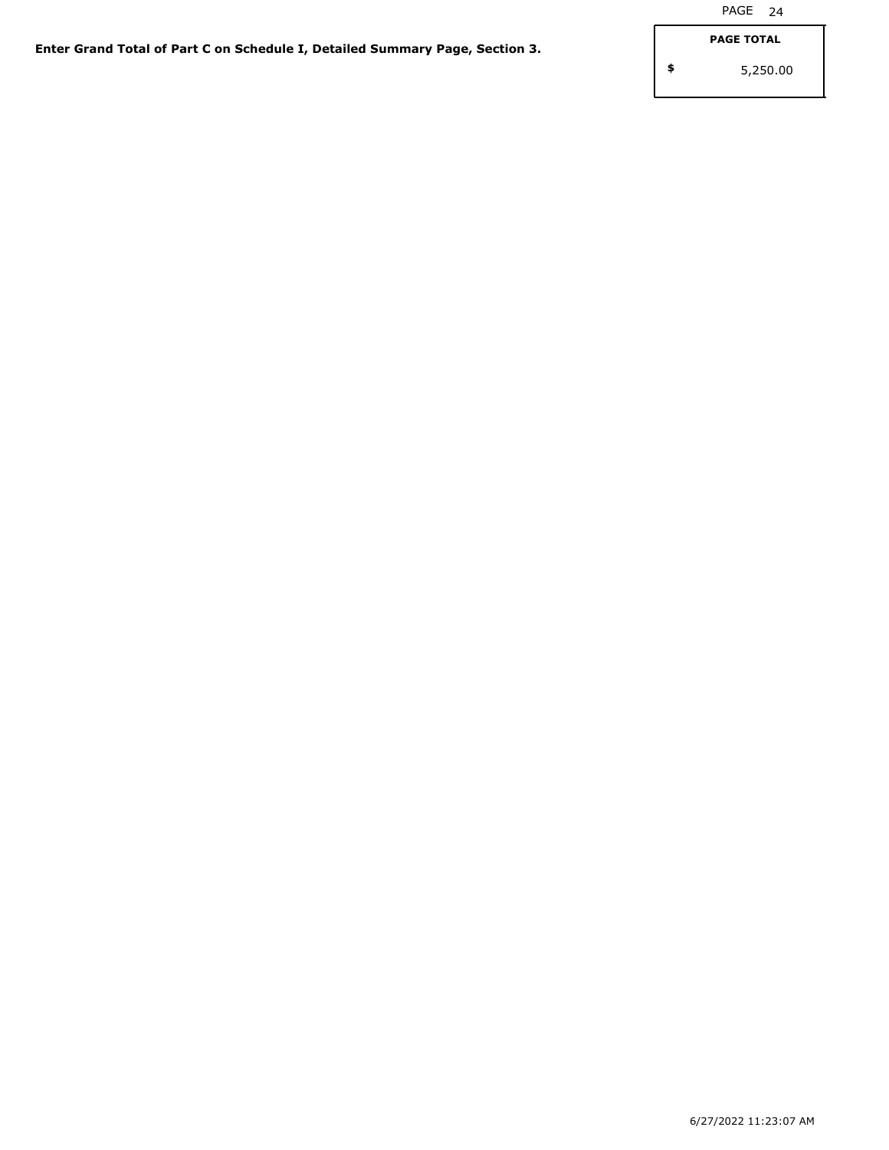**\$**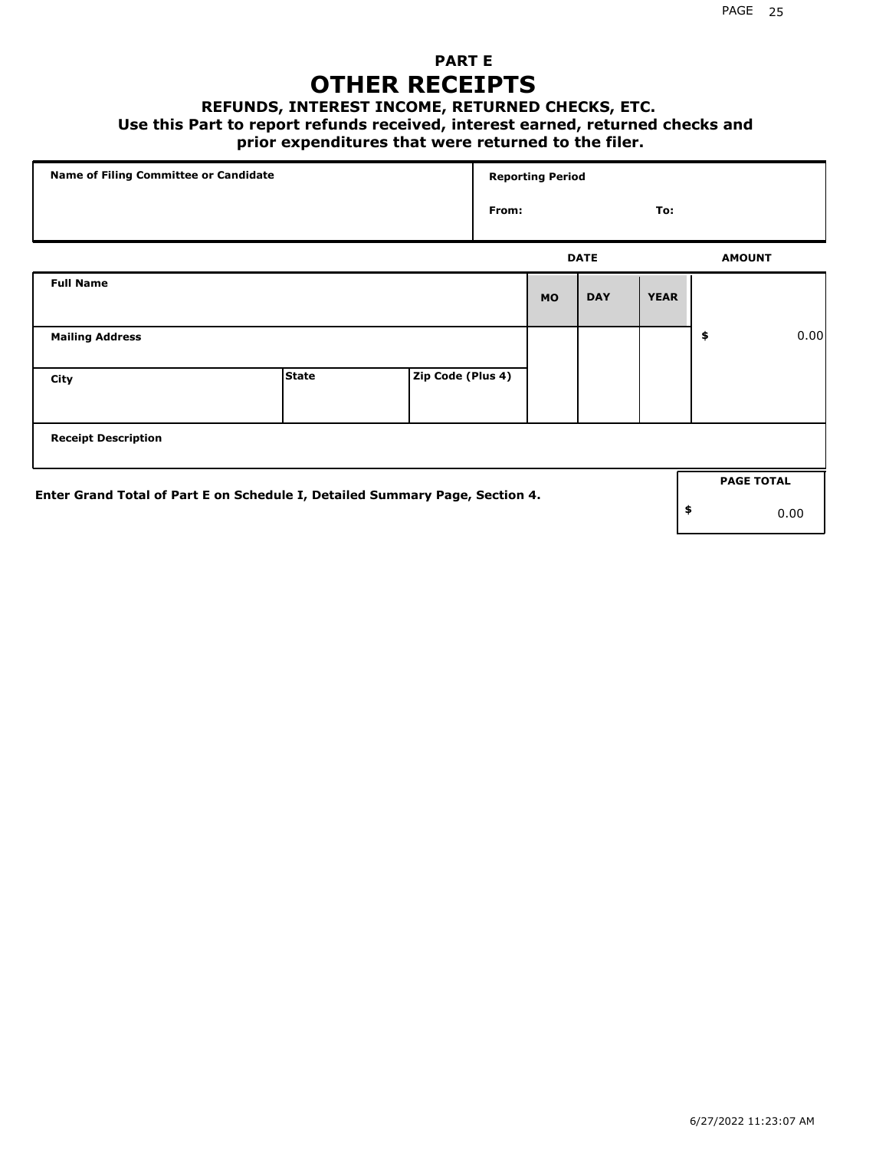## **PART E OTHER RECEIPTS**

#### **REFUNDS, INTEREST INCOME, RETURNED CHECKS, ETC.**

### **Use this Part to report refunds received, interest earned, returned checks and**

### **prior expenditures that were returned to the filer.**

| Name of Filing Committee or Candidate                                        |              |                   | <b>Reporting Period</b> |           |             |             |    |                   |      |
|------------------------------------------------------------------------------|--------------|-------------------|-------------------------|-----------|-------------|-------------|----|-------------------|------|
|                                                                              |              |                   | From:                   |           |             | To:         |    |                   |      |
|                                                                              |              |                   |                         |           | <b>DATE</b> |             |    | <b>AMOUNT</b>     |      |
| <b>Full Name</b>                                                             |              |                   |                         | <b>MO</b> | <b>DAY</b>  | <b>YEAR</b> |    |                   |      |
| <b>Mailing Address</b>                                                       |              |                   |                         |           |             |             | \$ |                   | 0.00 |
| City                                                                         | <b>State</b> | Zip Code (Plus 4) |                         |           |             |             |    |                   |      |
| <b>Receipt Description</b>                                                   |              |                   |                         |           |             |             |    |                   |      |
| Enter Grand Total of Part E on Schedule I, Detailed Summary Page, Section 4. |              |                   |                         |           |             |             |    | <b>PAGE TOTAL</b> |      |
|                                                                              |              |                   |                         |           |             |             | \$ |                   | 0.00 |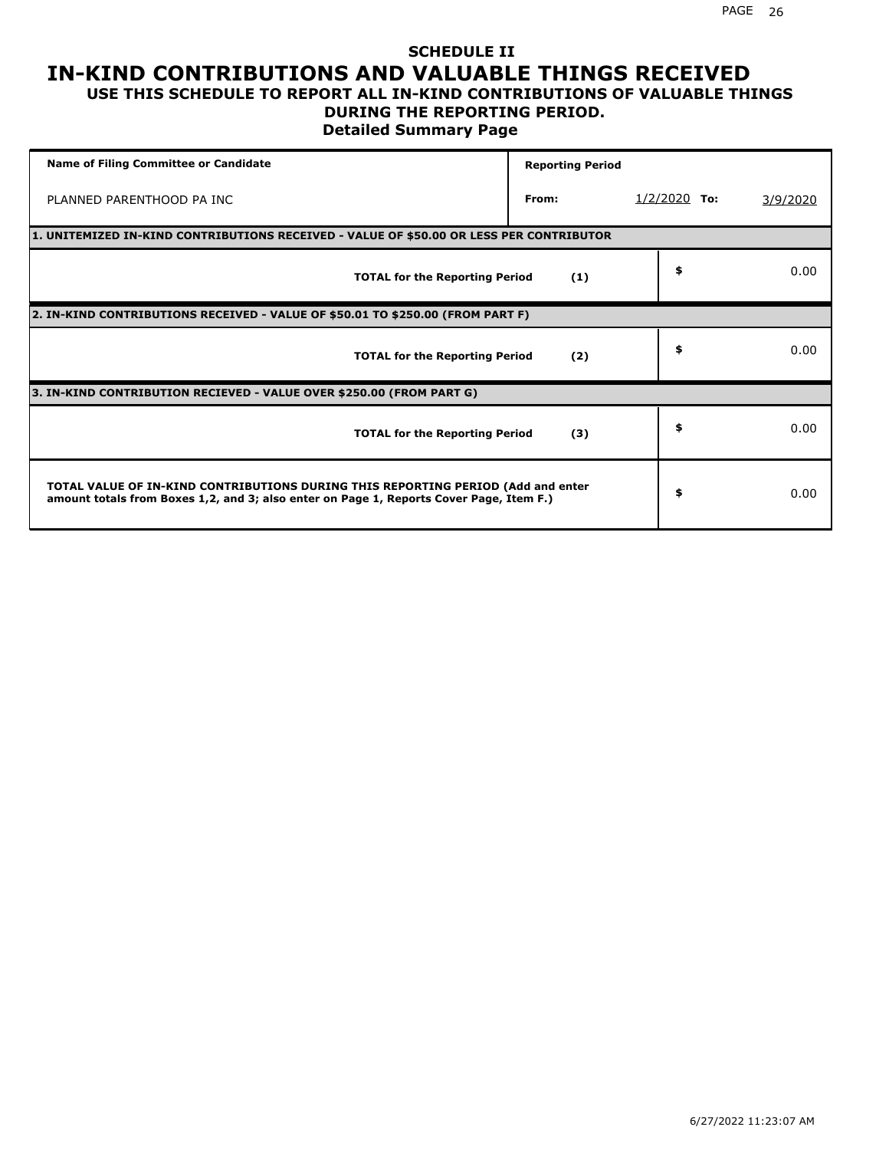### **SCHEDULE II IN-KIND CONTRIBUTIONS AND VALUABLE THINGS RECEIVED USE THIS SCHEDULE TO REPORT ALL IN-KIND CONTRIBUTIONS OF VALUABLE THINGS**

# **DURING THE REPORTING PERIOD.**

**Detailed Summary Page**

| <b>Name of Filing Committee or Candidate</b>                                                                                                                                | <b>Reporting Period</b> |                |          |
|-----------------------------------------------------------------------------------------------------------------------------------------------------------------------------|-------------------------|----------------|----------|
| PLANNED PARENTHOOD PA INC                                                                                                                                                   | From:                   | $1/2/2020$ To: | 3/9/2020 |
| 1. UNITEMIZED IN-KIND CONTRIBUTIONS RECEIVED - VALUE OF \$50.00 OR LESS PER CONTRIBUTOR                                                                                     |                         |                |          |
| <b>TOTAL for the Reporting Period</b>                                                                                                                                       | (1)                     | \$             | 0.00     |
| 2. IN-KIND CONTRIBUTIONS RECEIVED - VALUE OF \$50.01 TO \$250.00 (FROM PART F)                                                                                              |                         |                |          |
| <b>TOTAL for the Reporting Period</b>                                                                                                                                       | (2)                     | \$             | 0.00     |
| 3. IN-KIND CONTRIBUTION RECIEVED - VALUE OVER \$250.00 (FROM PART G)                                                                                                        |                         |                |          |
| <b>TOTAL for the Reporting Period</b>                                                                                                                                       | (3)                     | \$             | 0.00     |
| TOTAL VALUE OF IN-KIND CONTRIBUTIONS DURING THIS REPORTING PERIOD (Add and enter<br>amount totals from Boxes 1,2, and 3; also enter on Page 1, Reports Cover Page, Item F.) |                         | \$             | 0.00     |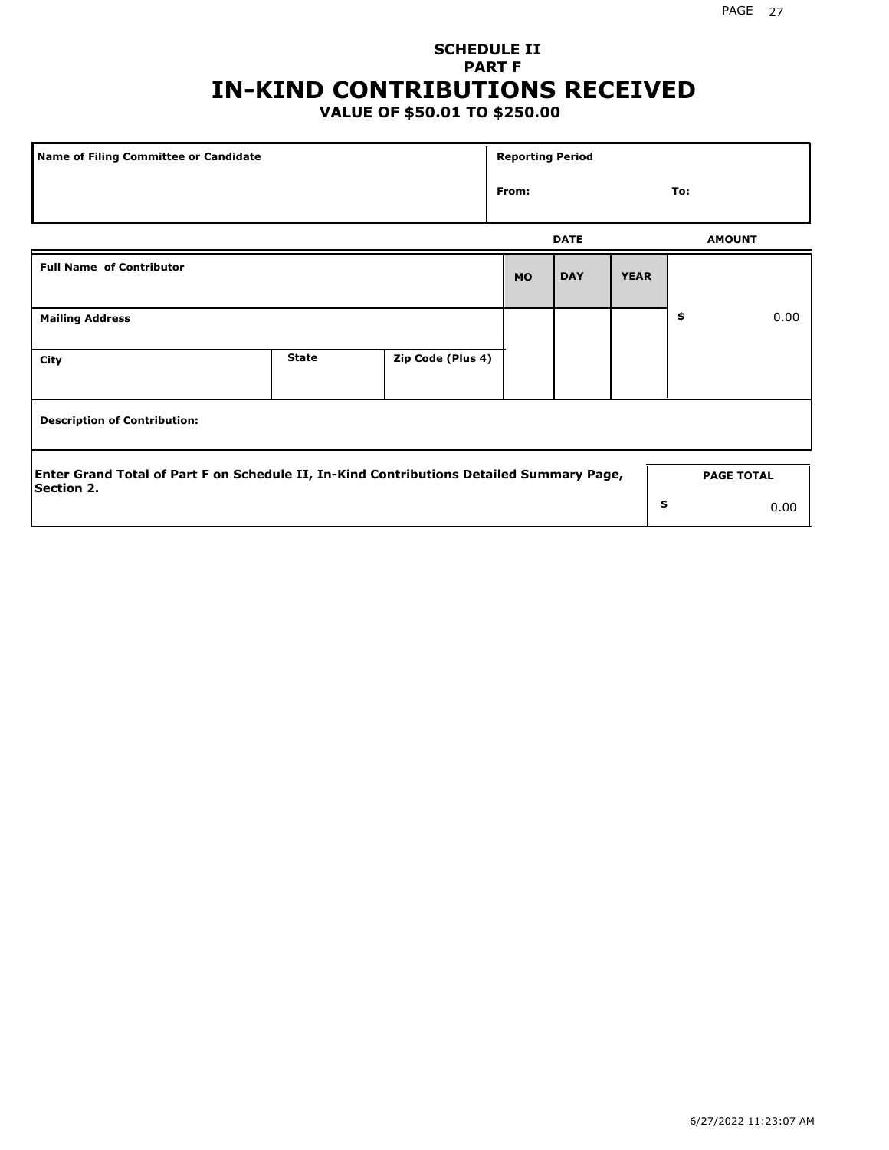# **SCHEDULE II PART F IN-KIND CONTRIBUTIONS RECEIVED**

# **VALUE OF \$50.01 TO \$250.00**

| <b>Name of Filing Committee or Candidate</b>                                                                                       |              |                   | <b>Reporting Period</b> |             |             |               |      |  |
|------------------------------------------------------------------------------------------------------------------------------------|--------------|-------------------|-------------------------|-------------|-------------|---------------|------|--|
|                                                                                                                                    |              |                   | From:                   |             |             | To:           |      |  |
|                                                                                                                                    |              |                   |                         | <b>DATE</b> |             | <b>AMOUNT</b> |      |  |
| <b>Full Name of Contributor</b>                                                                                                    |              |                   | <b>MO</b>               | <b>DAY</b>  | <b>YEAR</b> |               |      |  |
| <b>Mailing Address</b>                                                                                                             |              |                   |                         |             |             | \$            | 0.00 |  |
| City                                                                                                                               | <b>State</b> | Zip Code (Plus 4) |                         |             |             |               |      |  |
| <b>Description of Contribution:</b>                                                                                                |              |                   |                         |             |             |               |      |  |
| Enter Grand Total of Part F on Schedule II, In-Kind Contributions Detailed Summary Page,<br><b>PAGE TOTAL</b><br><b>Section 2.</b> |              |                   |                         |             |             |               |      |  |
|                                                                                                                                    |              |                   |                         |             | \$          |               | 0.00 |  |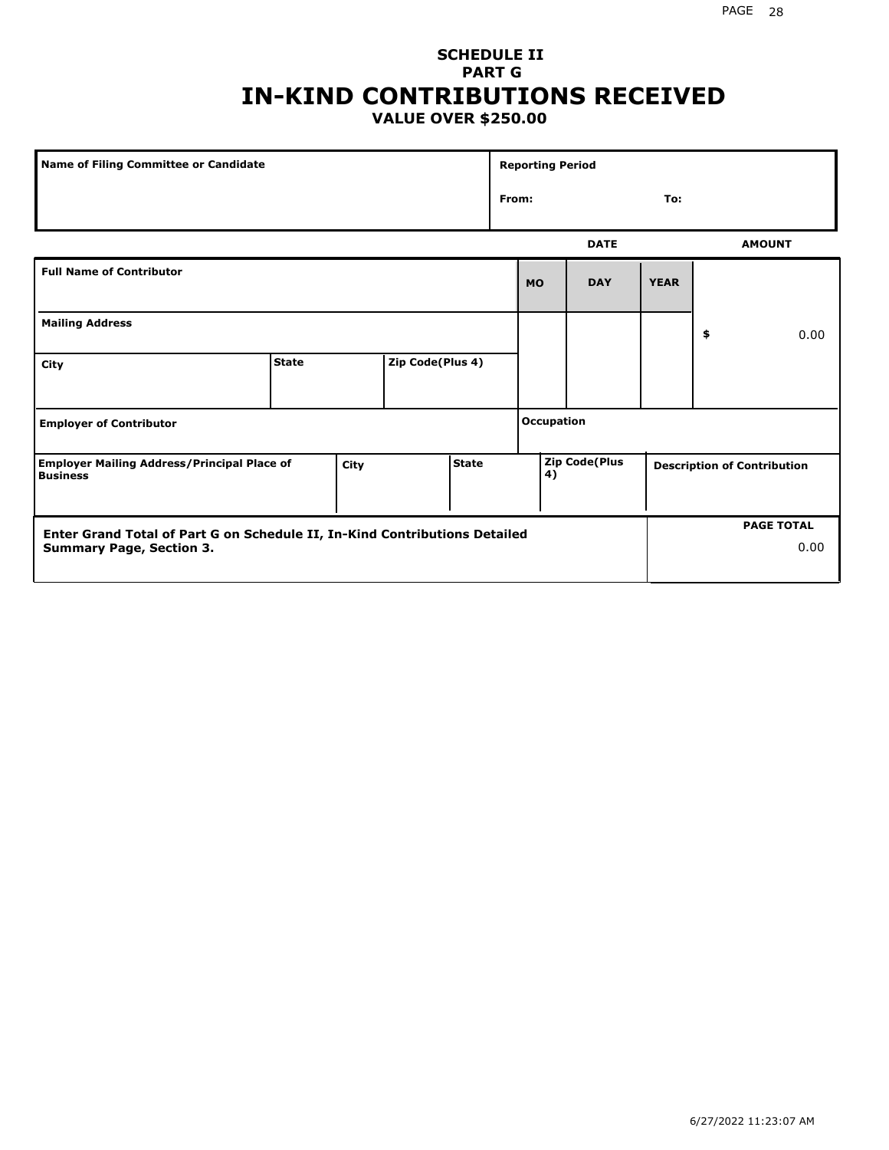0.00

### **SCHEDULE II PART G IN-KIND CONTRIBUTIONS RECEIVED VALUE OVER \$250.00**

| Name of Filing Committee or Candidate                                      |              |      | <b>Reporting Period</b> |           |            |                            |             |     |                                    |               |  |
|----------------------------------------------------------------------------|--------------|------|-------------------------|-----------|------------|----------------------------|-------------|-----|------------------------------------|---------------|--|
|                                                                            |              |      |                         |           | From:      |                            |             | To: |                                    |               |  |
|                                                                            |              |      |                         |           |            |                            | <b>DATE</b> |     |                                    | <b>AMOUNT</b> |  |
| <b>Full Name of Contributor</b>                                            |              |      |                         | <b>MO</b> | <b>DAY</b> | <b>YEAR</b>                |             |     |                                    |               |  |
| <b>Mailing Address</b>                                                     |              |      |                         |           |            |                            |             | \$  | 0.00                               |               |  |
| City                                                                       | <b>State</b> |      | Zip Code(Plus 4)        |           |            |                            |             |     |                                    |               |  |
| <b>Employer of Contributor</b>                                             |              |      |                         |           |            | <b>Occupation</b>          |             |     |                                    |               |  |
| <b>Employer Mailing Address/Principal Place of</b><br><b>Business</b>      |              | City | <b>State</b>            |           |            | <b>Zip Code(Plus</b><br>4) |             |     | <b>Description of Contribution</b> |               |  |
| Enter Grand Total of Part G on Schedule II, In-Kind Contributions Detailed |              |      |                         |           |            | <b>PAGE TOTAL</b>          |             |     |                                    |               |  |

**Summary Page, Section 3.**